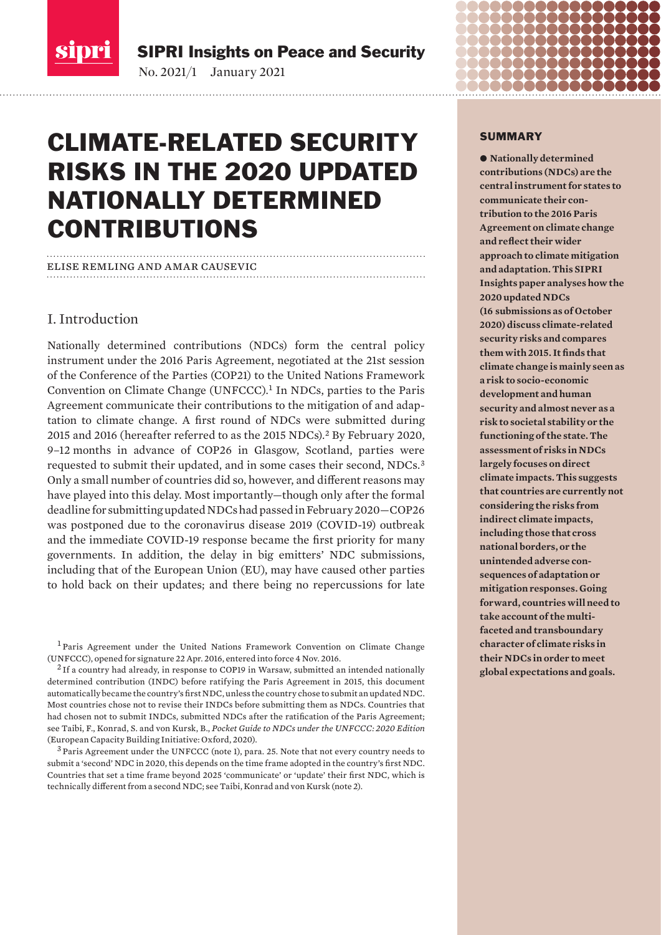

SIPRI Insights on Peace and Security

No. 2021/1 January 2021

# CLIMATE-RELATED SECURITY RISKS IN THE 2020 UPDATED NATIONALLY DETERMINED CONTRIBUTIONS

#### elise remling and amar causevic

### I. Introduction

Nationally determined contributions (NDCs) form the central policy instrument under the 2016 Paris Agreement, negotiated at the 21st session of the Conference of the Parties (COP21) to the United Nations Framework Convention on Climate Change (UNFCCC).<sup>1</sup> In NDCs, parties to the Paris Agreement communicate their contributions to the mitigation of and adaptation to climate change. A first round of NDCs were submitted during 2015 and 2016 (hereafter referred to as the 2015 NDCs).<sup>2</sup> By February 2020, 9–12 months in advance of COP26 in Glasgow, Scotland, parties were requested to submit their updated, and in some cases their second, NDCs.<sup>3</sup> Only a small number of countries did so, however, and different reasons may have played into this delay. Most importantly—though only after the formal deadline for submitting updated NDCs had passed in February 2020—COP26 was postponed due to the coronavirus disease 2019 (COVID-19) outbreak and the immediate COVID-19 response became the first priority for many governments. In addition, the delay in big emitters' NDC submissions, including that of the European Union (EU), may have caused other parties to hold back on their updates; and there being no repercussions for late

<sup>1</sup> Paris Agreement under the United Nations Framework Convention on Climate Change [\(UNFCCC\), opened for signature 22 Apr. 2016, entered into force 4 Nov. 2016](https://unfccc.int/files/essential_background/convention/application/pdf/english_paris_agreement.pdf).

 $<sup>2</sup>$  If a country had already, in response to COP19 in Warsaw, submitted an intended nationally</sup> determined contribution (INDC) before ratifying the Paris Agreement in 2015, this document automatically became the country's first NDC, unless the country chose to submit an updated NDC. Most countries chose not to revise their INDCs before submitting them as NDCs. Countries that had chosen not to submit INDCs, submitted NDCs after the ratification of the Paris Agreement; see Taibi, F., Konrad, S. and von Kursk, B., *[Pocket Guide to NDCs under the UNFCCC: 2020 Edition](https://unepdtu.org/pocket-guide-to-ndcs-2020/)*  (European Capacity Building Initiative: Oxford, 2020)*.*

 $3$  Paris Agreement under the UNFCCC (note 1), para. 25. Note that not every country needs to submit a 'second' NDC in 2020, this depends on the time frame adopted in the country's first NDC. Countries that set a time frame beyond 2025 'communicate' or 'update' their first NDC, which is technically different from a second NDC; see Taibi, Konrad and von Kursk (note 2).

### **SUMMARY**

 $\bullet$  Nationally determined **contributions (NDCs) are the central instrument for states to communicate their contribution to the 2016 Paris Agreement on climate change and reflect their wider approach to climate mitigation and adaptation. This SIPRI Insights paper analyses how the 2020 updated NDCs (16 submissions as of October 2020) discuss climate-related security risks and compares them with 2015. It finds that climate change is mainly seen as a risk to socio-economic development and human security and almost never as a risk to societal stability or the functioning of the state. The assessment of risks in NDCs largely focuses on direct climate impacts. This suggests that countries are currently not considering the risks from indirect climate impacts, including those that cross national borders, or the unintended adverse consequences of adaptation or mitigation responses. Going forward, countries will need to take account of the multifaceted and transboundary character of climate risks in their NDCs in order to meet global expectations and goals.**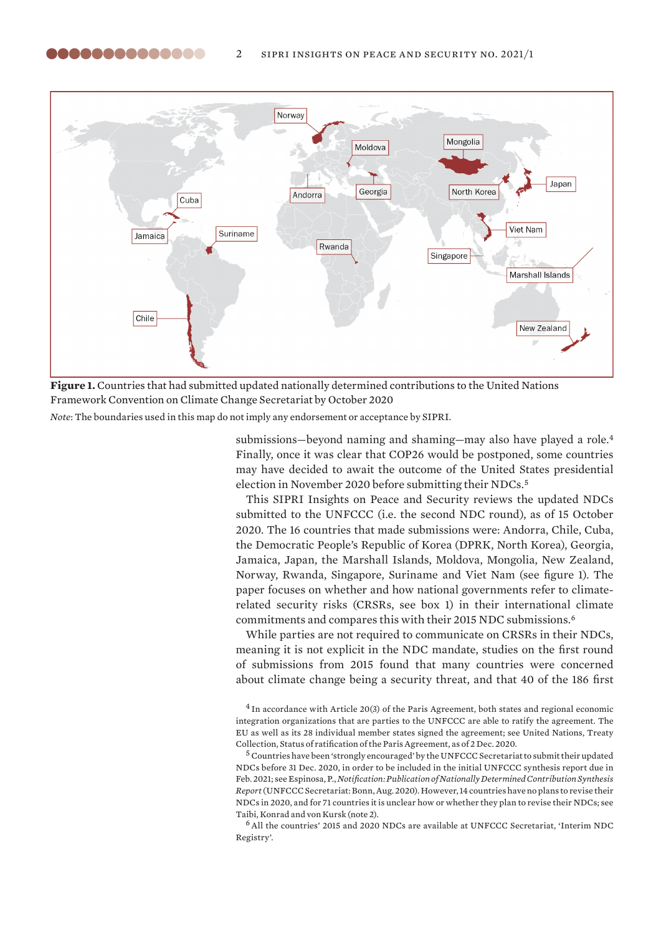<span id="page-1-0"></span>



*Note*: The boundaries used in this map do not imply any endorsement or acceptance by SIPRI.

submissions—beyond naming and shaming—may also have played a role.<sup>4</sup> Finally, once it was clear that COP26 would be postponed, some countries may have decided to await the outcome of the United States presidential election in November 2020 before submitting their NDCs.<sup>5</sup>

This SIPRI Insights on Peace and Security reviews the updated NDCs submitted to the UNFCCC (i.e. the second NDC round), as of 15 October 2020. The 16 countries that made submissions were: Andorra, Chile, Cuba, the Democratic People's Republic of Korea (DPRK, North Korea), Georgia, Jamaica, Japan, the Marshall Islands, Moldova, Mongolia, New Zealand, Norway, Rwanda, Singapore, Suriname and Viet Nam (see figure 1). The paper focuses on whether and how national governments refer to climaterelated security risks (CRSRs, see box 1) in their international climate commitments and compares this with their 2015 NDC submissions.<sup>6</sup>

While parties are not required to communicate on CRSRs in their NDCs, meaning it is not explicit in the NDC mandate, studies on the first round of submissions from 2015 found that many countries were concerned about climate change being a security threat, and that 40 of the 186 first

<sup>5</sup> Countries have been 'strongly encouraged' by the UNFCCC Secretariat to submit their updated NDCs before 31 Dec. 2020, in order to be included in the initial UNFCCC synthesis report due in Feb. 2021; see Espinosa, P., *[Notification: Publication of Nationally Determined Contribution Synthesis](https://unfccc.int/documents/232025)  [Report](https://unfccc.int/documents/232025)* (UNFCCC Secretariat: Bonn, Aug. 2020). However, 14 countries have no plans to revise their NDCs in 2020, and for 71 countries it is unclear how or whether they plan to revise their NDCs; see Taibi, Konrad and von Kursk (note 2).

<sup>6</sup>All the countries' 2015 and 2020 NDCs are available at UNFCCC Secretariat, '[Interim NDC](https://www4.unfccc.int/sites/NDCStaging/Pages/Home.aspx)  [Registry'](https://www4.unfccc.int/sites/NDCStaging/Pages/Home.aspx).

<sup>4</sup> In accordance with Article 20(3) of the Paris Agreement, both states and regional economic integration organizations that are parties to the UNFCCC are able to ratify the agreement. The EU as well as its 28 individual member states signed the agreement; see United Nations, Treaty Collection, [Status of ratification of the Paris Agreement, as of 2 Dec. 2020.](https://treaties.un.org/Pages/ViewDetails.aspx?src=TREATY&mtdsg_no=XXVII-7-d&chapter=27&clang=_en)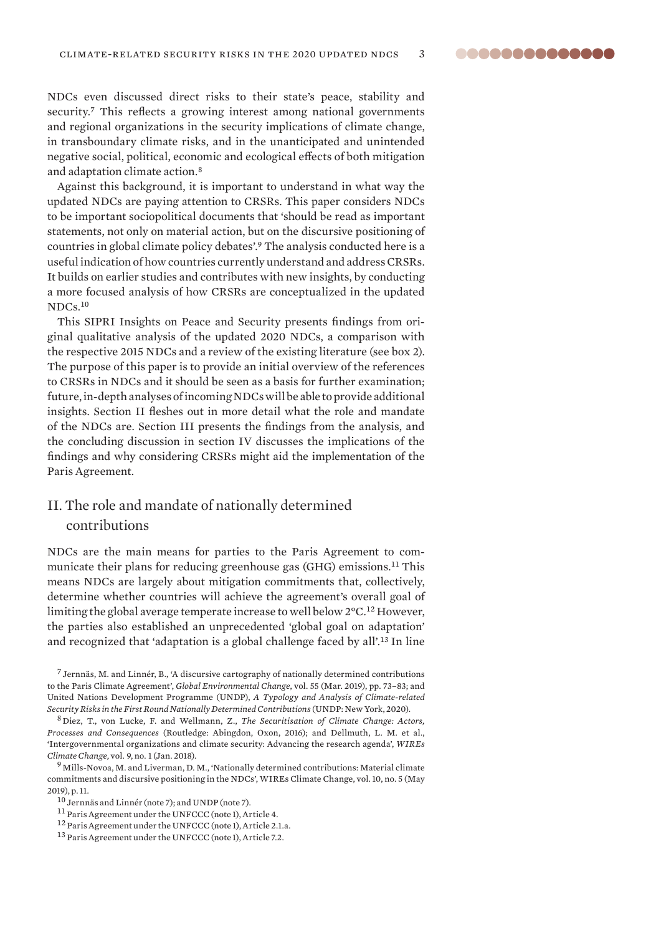NDCs even discussed direct risks to their state's peace, stability and security.<sup>7</sup> This reflects a growing interest among national governments and regional organizations in the security implications of climate change, in transboundary climate risks, and in the unanticipated and unintended negative social, political, economic and ecological effects of both mitigation and adaptation climate action.<sup>8</sup>

Against this background, it is important to understand in what way the updated NDCs are paying attention to CRSRs. This paper considers NDCs to be important sociopolitical documents that 'should be read as important statements, not only on material action, but on the discursive positioning of countries in global climate policy debates'.<sup>9</sup> The analysis conducted here is a useful indication of how countries currently understand and address CRSRs. It builds on earlier studies and contributes with new insights, by conducting a more focused analysis of how CRSRs are conceptualized in the updated NDCs.<sup>10</sup>

This SIPRI Insights on Peace and Security presents findings from original qualitative analysis of the updated 2020 NDCs, a comparison with the respective 2015 NDCs and a review of the existing literature (see box 2). The purpose of this paper is to provide an initial overview of the references to CRSRs in NDCs and it should be seen as a basis for further examination; future, in-depth analyses of incoming NDCs will be able to provide additional insights. Section II fleshes out in more detail what the role and mandate of the NDCs are. Section III presents the findings from the analysis, and the concluding discussion in section IV discusses the implications of the findings and why considering CRSRs might aid the implementation of the Paris Agreement.

### II. The role and mandate of nationally determined contributions

NDCs are the main means for parties to the Paris Agreement to communicate their plans for reducing greenhouse gas (GHG) emissions.<sup>11</sup> This means NDCs are largely about mitigation commitments that, collectively, determine whether countries will achieve the agreement's overall goal of limiting the global average temperate increase to well below 2°C.<sup>12</sup> However, the parties also established an unprecedented 'global goal on adaptation' and recognized that 'adaptation is a global challenge faced by all'.<sup>13</sup> In line

 $<sup>7</sup>$  Jernnäs, M. and Linnér, B., 'A discursive cartography of nationally determined contributions</sup> [to the Paris Climate Agreement](https://doi.org/10.1016/j.gloenvcha.2019.01.006)', *Global Environmental Change*, vol. 55 (Mar. 2019), pp. 73–83; and United Nations Development Programme (UNDP), *[A Typology and Analysis of Climate-related](https://www.undp.org/content/undp/en/home/librarypage/climate-and-disaster-resilience-/A-typology-and-analysis-of-climate-related-security-risks-in-the-first-round-Nationally-Determined-Contributions.html)  [Security Risks in the First Round Nationally Determined Contributions](https://www.undp.org/content/undp/en/home/librarypage/climate-and-disaster-resilience-/A-typology-and-analysis-of-climate-related-security-risks-in-the-first-round-Nationally-Determined-Contributions.html)* (UNDP: New York, 2020).

<sup>8</sup> Diez, T., von Lucke, F. and Wellmann, Z., *The Securitisation of Climate Change: Actors, Processes and Consequences* (Routledge: Abingdon, Oxon, 2016); and Dellmuth, L. M. et al., '[Intergovernmental organizations and climate security: Advancing the research agenda'](https://doi.org/10.1002/wcc.496), *WIREs Climate Change,* vol. 9, no. 1 (Jan. 2018).

<sup>&</sup>lt;sup>9</sup> Mills-Novoa, M. and Liverman, D. M., 'Nationally determined contributions: Material climate [commitments and discursive positioning in the NDCs](https://doi.org/10.1002/wcc.589)', WIREs Climate Change, vol. 10, no. 5 (May 2019), p. 11.

<sup>10</sup> Jernnäs and Linnér (note 7); and UNDP (note 7).

<sup>11</sup> Paris Agreement under the UNFCCC (note 1), Article 4.

<sup>12</sup> Paris Agreement under the UNFCCC (note 1), Article 2.1.a.

<sup>13</sup> Paris Agreement under the UNFCCC (note 1), Article 7.2.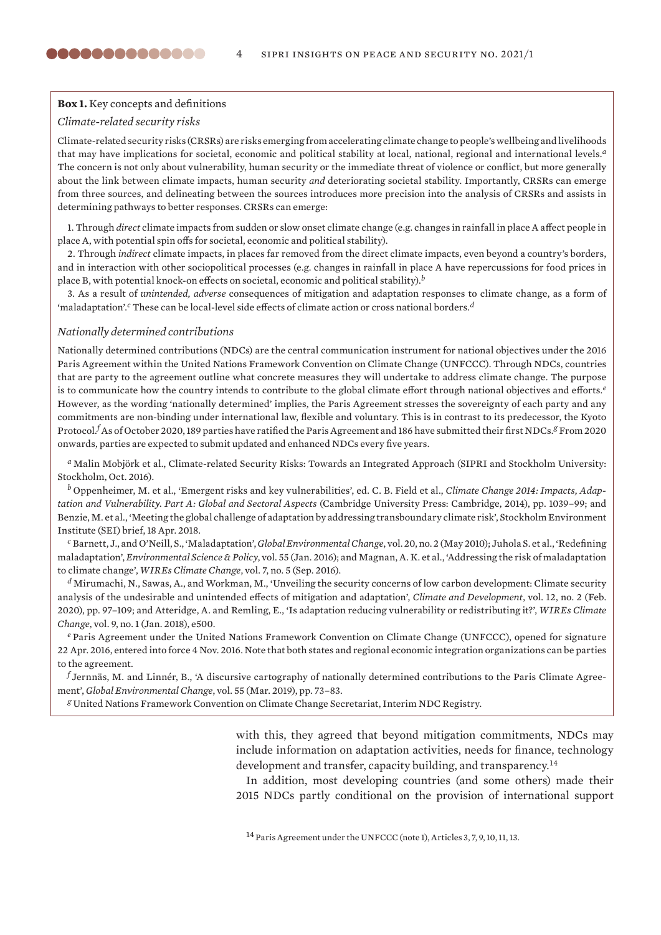### **Box 1.** Key concepts and definitions

### *Climate-related security risks*

<span id="page-3-0"></span>,,,,,,,,,,,,,,

Climate-related security risks (CRSRs) are risks emerging from accelerating climate change to people's wellbeing and livelihoods that may have implications for societal, economic and political stability at local, national, regional and international levels.*<sup>a</sup>* The concern is not only about vulnerability, human security or the immediate threat of violence or conflict, but more generally about the link between climate impacts, human security *and* deteriorating societal stability. Importantly, CRSRs can emerge from three sources, and delineating between the sources introduces more precision into the analysis of CRSRs and assists in determining pathways to better responses. CRSRs can emerge:

1. Through *direct* climate impacts from sudden or slow onset climate change (e.g. changes in rainfall in place A affect people in place A, with potential spin offs for societal, economic and political stability).

2. Through *indirect* climate impacts, in places far removed from the direct climate impacts, even beyond a country's borders, and in interaction with other sociopolitical processes (e.g. changes in rainfall in place A have repercussions for food prices in place B, with potential knock-on effects on societal, economic and political stability).*<sup>b</sup>*

3. As a result of *unintended, adverse* consequences of mitigation and adaptation responses to climate change, as a form of 'maladaptation'.*c* These can be local-level side effects of climate action or cross national borders.*<sup>d</sup>*

#### *Nationally determined contributions*

Nationally determined contributions (NDCs) are the central communication instrument for national objectives under the 2016 Paris Agreement within the United Nations Framework Convention on Climate Change (UNFCCC). Through NDCs, countries that are party to the agreement outline what concrete measures they will undertake to address climate change. The purpose is to communicate how the country intends to contribute to the global climate effort through national objectives and efforts.*<sup>e</sup>* However, as the wording 'nationally determined' implies, the Paris Agreement stresses the sovereignty of each party and any commitments are non-binding under international law, flexible and voluntary. This is in contrast to its predecessor, the Kyoto Protocol.*<sup>f</sup>* As of October 2020, 189 parties have ratified the Paris Agreement and 186 have submitted their first NDCs.*g* From 2020 onwards, parties are expected to submit updated and enhanced NDCs every five years.

*<sup>a</sup>* Malin Mobjörk et al., [Climate-related Security Risks: Towards an Integrated Approach](https://www.sipri.org/publications/2016/climate-related-security-risks) (SIPRI and Stockholm University: Stockholm, Oct. 2016).

*<sup>b</sup>* Oppenheimer, M. et al., 'Emergent risks and key vulnerabilities', ed. C. B. Field et al., *Climate Change 2014: Impacts, Adaptation and Vulnerability. Part A: Global and Sectoral Aspects* (Cambridge University Press: Cambridge, 2014), pp. 1039–99; and Benzie, M. et al., '[Meeting the global challenge of adaptation by addressing transboundary climate risk](https://www.sei.org/publications/transboundary-climate-risk/)', Stockholm Environment Institute (SEI) brief, 18 Apr. 2018.

*<sup>c</sup>* Barnett, J., and O'Neill, S., ['Maladaptation](https://doi.org/10.1016/j.gloenvcha.2009.11.004)', *Global Environmental Change*, vol. 20, no. 2 (May 2010); Juhola S. et al., '[Redefining](https://doi.org/10.1016/j.envsci.2015.09.014) [maladaptation'](https://doi.org/10.1016/j.envsci.2015.09.014), *Environmental Science & Policy*, vol. 55 (Jan. 2016); and Magnan, A. K. et al., ['Addressing the risk of maladaptation](https://onlinelibrary.wiley.com/doi/abs/10.1002/wcc.409) [to climate change'](https://onlinelibrary.wiley.com/doi/abs/10.1002/wcc.409), *WIREs Climate Change*, vol. 7, no. 5 (Sep. 2016).

*<sup>d</sup>* Mirumachi, N., Sawas, A., and Workman, M., '[Unveiling the security concerns of low carbon development: Climate security](https://doi.org/10.1080/17565529.2019.1604310) [analysis of the undesirable and unintended effects of mitigation and adaptation'](https://doi.org/10.1080/17565529.2019.1604310), *Climate and Development*, vol. 12, no. 2 (Feb. 2020), pp. 97–109; and Atteridge, A. and Remling, E., ['Is adaptation reducing vulnerability or redistributing it?](https://doi.org/10.1002/wcc.500)', *WIREs Climate Change*, vol. 9, no. 1 (Jan. 2018), e500.

*<sup>e</sup>* [Paris Agreement under the United Nations Framework Convention on Climate Change \(UNFCCC\), opened for signature](https://unfccc.int/files/essential_background/convention/application/pdf/english_paris_agreement.pdf) 22 [Apr. 2016, entered into force 4 Nov. 2016.](https://unfccc.int/files/essential_background/convention/application/pdf/english_paris_agreement.pdf) Note that both states and regional economic integration organizations can be parties to the agreement.

*<sup>f</sup>* Jernnäs, M. and Linnér, B., ['A discursive cartography of nationally determined contributions to the Paris Climate Agree](https://doi.org/10.1016/j.gloenvcha.2019.01.006)[ment](https://doi.org/10.1016/j.gloenvcha.2019.01.006)', *Global Environmental Change*, vol. 55 (Mar. 2019), pp. 73–83.

*<sup>g</sup>* United Nations Framework Convention on Climate Change Secretariat, [Interim NDC Registry.](https://www4.unfccc.int/sites/NDCStaging/Pages/LatestSubmissions.aspx)

with this, they agreed that beyond mitigation commitments, NDCs may include information on adaptation activities, needs for finance, technology development and transfer, capacity building, and transparency.<sup>14</sup>

In addition, most developing countries (and some others) made their 2015 NDCs partly conditional on the provision of international support

<sup>14</sup> Paris Agreement under the UNFCCC (note 1), Articles 3, 7, 9, 10, 11, 13.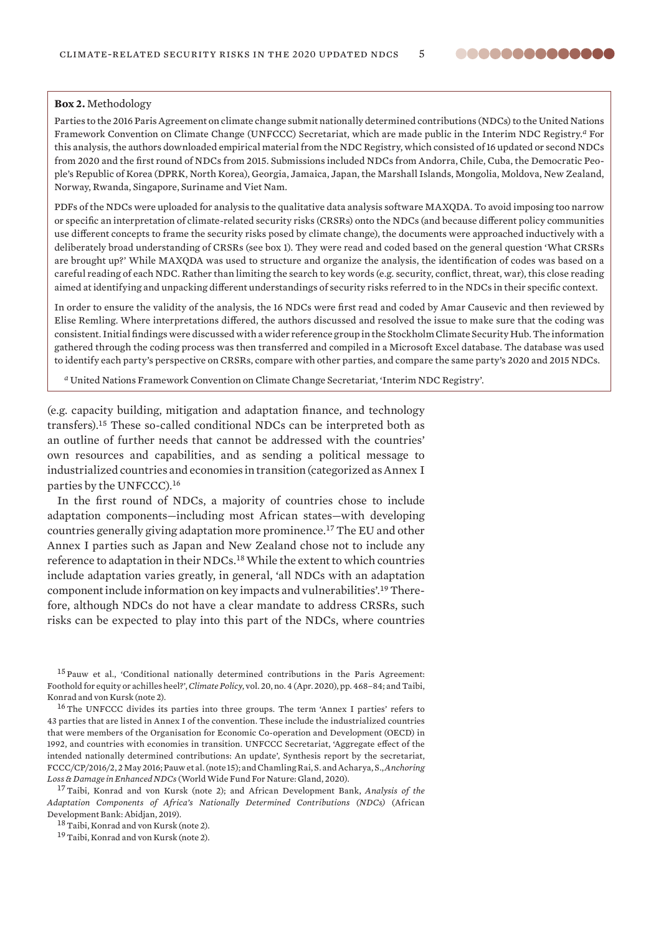### 8888888888888

#### <span id="page-4-0"></span>**Box 2.** Methodology

Parties to the 2016 Paris Agreement on climate change submit nationally determined contributions (NDCs) to the United Nations Framework Convention on Climate Change (UNFCCC) Secretariat, which are made public in the Interim NDC Registry.*a* For this analysis, the authors downloaded empirical material from the NDC Registry, which consisted of 16 updated or second NDCs from 2020 and the first round of NDCs from 2015. Submissions included NDCs from Andorra, Chile, Cuba, the Democratic People's Republic of Korea (DPRK, North Korea), Georgia, Jamaica, Japan, the Marshall Islands, Mongolia, Moldova, New Zealand, Norway, Rwanda, Singapore, Suriname and Viet Nam.

PDFs of the NDCs were uploaded for analysis to the qualitative data analysis software MAXQDA. To avoid imposing too narrow or specific an interpretation of climate-related security risks (CRSRs) onto the NDCs (and because different policy communities use different concepts to frame the security risks posed by climate change), the documents were approached inductively with a deliberately broad understanding of CRSRs (see box 1). They were read and coded based on the general question 'What CRSRs are brought up?' While MAXQDA was used to structure and organize the analysis, the identification of codes was based on a careful reading of each NDC. Rather than limiting the search to key words (e.g. security, conflict, threat, war), this close reading aimed at identifying and unpacking different understandings of security risks referred to in the NDCs in their specific context.

In order to ensure the validity of the analysis, the 16 NDCs were first read and coded by Amar Causevic and then reviewed by Elise Remling. Where interpretations differed, the authors discussed and resolved the issue to make sure that the coding was consistent. Initial findings were discussed with a wider reference group in the Stockholm Climate Security Hub. The information gathered through the coding process was then transferred and compiled in a Microsoft Excel database. The database was used to identify each party's perspective on CRSRs, compare with other parties, and compare the same party's 2020 and 2015 NDCs.

*<sup>a</sup>* United Nations Framework Convention on Climate Change Secretariat, '[Interim NDC Registry](https://www4.unfccc.int/sites/NDCStaging/Pages/LatestSubmissions.aspx)'.

(e.g. capacity building, mitigation and adaptation finance, and technology transfers).<sup>15</sup> These so-called conditional NDCs can be interpreted both as an outline of further needs that cannot be addressed with the countries' own resources and capabilities, and as sending a political message to industrialized countries and economies in transition (categorized as Annex I parties by the UNFCCC).<sup>16</sup>

In the first round of NDCs, a majority of countries chose to include adaptation components—including most African states—with developing countries generally giving adaptation more prominence.<sup>17</sup> The EU and other Annex I parties such as Japan and New Zealand chose not to include any reference to adaptation in their NDCs.<sup>18</sup> While the extent to which countries include adaptation varies greatly, in general, 'all NDCs with an adaptation component include information on key impacts and vulnerabilities'.19 Therefore, although NDCs do not have a clear mandate to address CRSRs, such risks can be expected to play into this part of the NDCs, where countries

<sup>15</sup> Pauw et al., '[Conditional nationally determined contributions in the Paris Agreement:](https://doi.org/10.1080/14693062.2019.1635874)  [Foothold for equity or achilles heel?'](https://doi.org/10.1080/14693062.2019.1635874), *Climate Policy*, vol. 20, no. 4 (Apr. 2020), pp. 468–84; and Taibi, Konrad and von Kursk (note 2).

<sup>16</sup>The UNFCCC divides its parties into three groups. The term 'Annex I parties' refers to 43 parties that are listed in Annex I of the convention. These include the industrialized countries that were members of the Organisation for Economic Co-operation and Development (OECD) in 1992, and countries with economies in transition. UNFCCC Secretariat, ['Aggregate effect of the](http://unfccc.int/resource/docs/2016/cop22/eng/02.pdf)  [intended nationally determined contributions: An update'](http://unfccc.int/resource/docs/2016/cop22/eng/02.pdf), Synthesis report by the secretariat, FCCC/CP/2016/2, 2 May 2016; Pauw et al. (note 15); and Chamling Rai, S. and Acharya, S., *[Anchoring](https://wwf.panda.org/?955216/Loss-damage-NDCs)  [Loss & Damage in Enhanced NDCs](https://wwf.panda.org/?955216/Loss-damage-NDCs)* (World Wide Fund For Nature: Gland, 2020).

<sup>17</sup>Taibi, Konrad and von Kursk (note 2); and African Development Bank, *[Analysis of the](https://www.afdb.org/fileadmin/uploads/afdb/Documents/Generic-Documents/Analysis_of_Adaptation_Components_in_African_NDCs_2019.pdf) [Adaptation Components of Africa's Nationally Determined Contributions \(NDCs\)](https://www.afdb.org/fileadmin/uploads/afdb/Documents/Generic-Documents/Analysis_of_Adaptation_Components_in_African_NDCs_2019.pdf)* (African Development Bank: Abidjan, 2019).

18 Taibi, Konrad and von Kursk (note 2).

<sup>19</sup> Taibi, Konrad and von Kursk (note 2).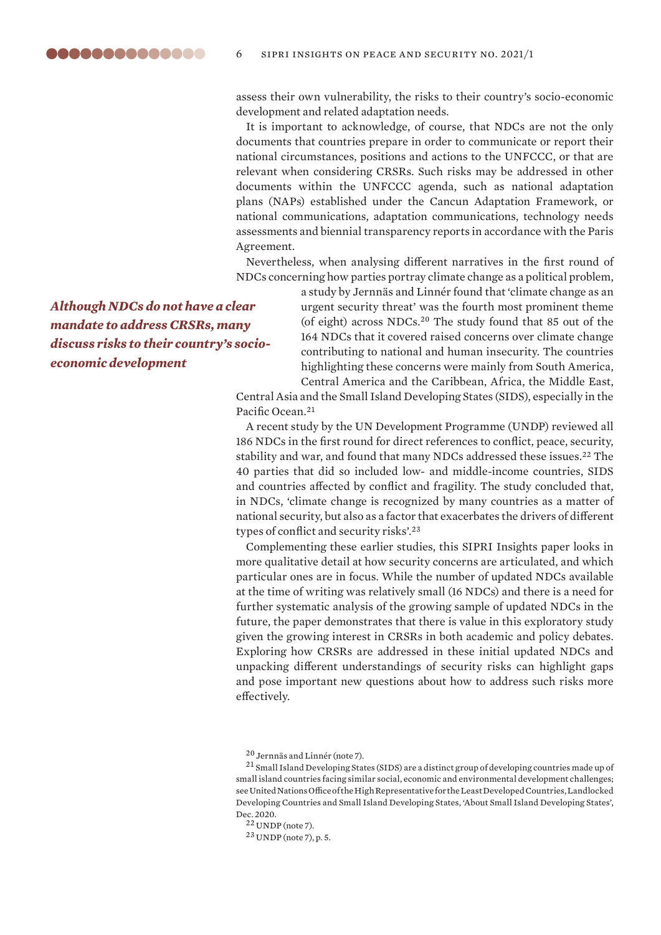assess their own vulnerability, the risks to their country's socio-economic development and related adaptation needs.

It is important to acknowledge, of course, that NDCs are not the only documents that countries prepare in order to communicate or report their national circumstances, positions and actions to the UNFCCC, or that are relevant when considering CRSRs. Such risks may be addressed in other documents within the UNFCCC agenda, such as national adaptation plans (NAPs) established under the Cancun Adaptation Framework, or national communications, adaptation communications, technology needs assessments and biennial transparency reports in accordance with the Paris Agreement.

Nevertheless, when analysing different narratives in the first round of NDCs concerning how parties portray climate change as a political problem,

*Although NDCs do not have a clear mandate to address CRSRs, many discuss risks to their country's socioeconomic development*

a study by Jernnäs and Linnér found that 'climate change as an urgent security threat' was the fourth most prominent theme (of eight) across NDCs.<sup>20</sup> The study found that 85 out of the 164 NDCs that it covered raised concerns over climate change contributing to national and human insecurity. The countries highlighting these concerns were mainly from South America, Central America and the Caribbean, Africa, the Middle East,

Central Asia and the Small Island Developing States (SIDS), especially in the Pacific Ocean.<sup>21</sup>

A recent study by the UN Development Programme (UNDP) reviewed all 186 NDCs in the first round for direct references to conflict, peace, security, stability and war, and found that many NDCs addressed these issues.<sup>22</sup> The 40 parties that did so included low- and middle-income countries, SIDS and countries affected by conflict and fragility. The study concluded that, in NDCs, 'climate change is recognized by many countries as a matter of national security, but also as a factor that exacerbates the drivers of different types of conflict and security risks'.<sup>23</sup>

Complementing these earlier studies, this SIPRI Insights paper looks in more qualitative detail at how security concerns are articulated, and which particular ones are in focus. While the number of updated NDCs available at the time of writing was relatively small (16 NDCs) and there is a need for further systematic analysis of the growing sample of updated NDCs in the future, the paper demonstrates that there is value in this exploratory study given the growing interest in CRSRs in both academic and policy debates. Exploring how CRSRs are addressed in these initial updated NDCs and unpacking different understandings of security risks can highlight gaps and pose important new questions about how to address such risks more effectively.

<sup>20</sup> Jernnäs and Linnér (note 7).

<sup>21</sup> Small Island Developing States (SIDS) are a distinct group of developing countries made up of small island countries facing similar social, economic and environmental development challenges; see United Nations Office of the High Representative for the Least Developed Countries, Landlocked Developing Countries and Small Island Developing States, ['About Small Island Developing States](https://www.un.org/ohrlls/content/about-small-island-developing-states)', Dec. 2020.

 $22$  UNDP (note 7).

<sup>23</sup> UNDP (note 7), p. 5.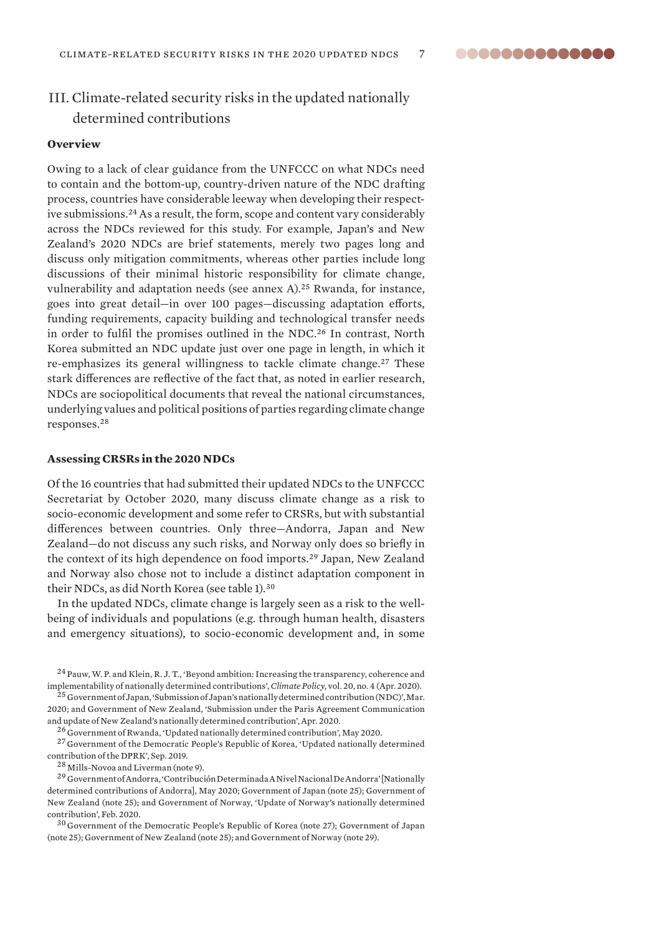aaaaaaaaaaaaa

### III. Climate-related security risks in the updated nationally determined contributions

### **Overview**

Owing to a lack of clear guidance from the UNFCCC on what NDCs need to contain and the bottom-up, country-driven nature of the NDC drafting process, countries have considerable leeway when developing their respective submissions.<sup>24</sup> As a result, the form, scope and content vary considerably across the NDCs reviewed for this study. For example, Japan's and New Zealand's 2020 NDCs are brief statements, merely two pages long and discuss only mitigation commitments, whereas other parties include long discussions of their minimal historic responsibility for climate change, vulnerability and adaptation needs (see annex A).<sup>25</sup> Rwanda, for instance, goes into great detail—in over 100 pages—discussing adaptation efforts, funding requirements, capacity building and technological transfer needs in order to fulfil the promises outlined in the NDC.<sup>26</sup> In contrast, North Korea submitted an NDC update just over one page in length, in which it re-emphasizes its general willingness to tackle climate change.<sup>27</sup> These stark differences are reflective of the fact that, as noted in earlier research, NDCs are sociopolitical documents that reveal the national circumstances, underlying values and political positions of parties regarding climate change responses.<sup>28</sup>

### **Assessing CRSRs in the 2020 NDCs**

Of the 16 countries that had submitted their updated NDCs to the UNFCCC Secretariat by October 2020, many discuss climate change as a risk to socio-economic development and some refer to CRSRs, but with substantial differences between countries. Only three—Andorra, Japan and New Zealand—do not discuss any such risks, and Norway only does so briefly in the context of its high dependence on food imports.<sup>29</sup> Japan, New Zealand and Norway also chose not to include a distinct adaptation component in their NDCs, as did North Korea (see table 1).<sup>30</sup>

In the updated NDCs, climate change is largely seen as a risk to the wellbeing of individuals and populations (e.g. through human health, disasters and emergency situations), to socio-economic development and, in some

<sup>24</sup> Pauw, W. P. and Klein, R. J. T., ['Beyond ambition: Increasing the transparency, coherence and](https://doi.org/10.1080/14693062.2020.1722607)  [implementability of nationally determined contributions](https://doi.org/10.1080/14693062.2020.1722607)', *Climate Policy*, vol. 20, no. 4 (Apr. 2020).

<sup>25</sup> Government of Japan, ['Submission of Japan's nationally determined contribution \(NDC\)'](https://www4.unfccc.int/sites/NDCStaging/Pages/Party.aspx?party=JPN), Mar. 2020; and Government of New Zealand, '[Submission under the Paris Agreement Communication](https://www4.unfccc.int/sites/NDCStaging/Pages/Party.aspx?party=NZL)  [and update of New Zealand's](https://www4.unfccc.int/sites/NDCStaging/Pages/Party.aspx?party=NZL) nationally determined contribution', Apr. 2020.

<sup>26</sup> Government of Rwanda, '[Updated](https://www4.unfccc.int/sites/NDCStaging/Pages/Party.aspx?party=RWA) nationally determined contribution', May 2020.

<sup>27</sup> Government of the Democratic People's Republic of Korea, '[Updated nationally determined](https://www4.unfccc.int/sites/NDCStaging/Pages/Party.aspx?party=PRK&prototype=1)  [contribution of the DPRK](https://www4.unfccc.int/sites/NDCStaging/Pages/Party.aspx?party=PRK&prototype=1)', Sep. 2019.

<sup>28</sup> Mills-Novoa and Liverman (note 9).

<sup>29</sup> Government of Andorra, 'Contribución Determinada A Nivel Nacional De Andorra' [Nationally [determined contributions of Andorra\]](https://www4.unfccc.int/sites/NDCStaging/Pages/Party.aspx?party=AND), May 2020; Government of Japan (note 25); Government of New Zealand (note 25); and Government of Norway, '[Update of Norway's nationally determined](https://www4.unfccc.int/sites/NDCStaging/Pages/Party.aspx?party=NOR)  [contribution'](https://www4.unfccc.int/sites/NDCStaging/Pages/Party.aspx?party=NOR), Feb. 2020.

<sup>30</sup> Government of the Democratic People's Republic of Korea (note 27); Government of Japan (note 25); Government of New Zealand (note 25); and Government of Norway (note 29).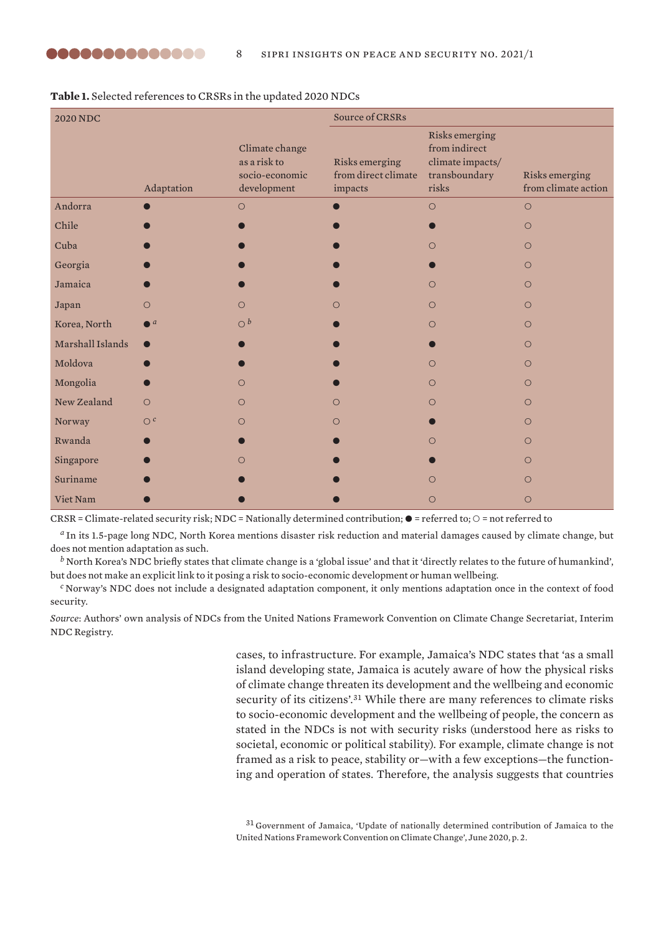| <b>2020 NDC</b>  |                    |                                                                 | Source of CRSRs                                  |                                                                               |                                       |  |
|------------------|--------------------|-----------------------------------------------------------------|--------------------------------------------------|-------------------------------------------------------------------------------|---------------------------------------|--|
|                  | Adaptation         | Climate change<br>as a risk to<br>socio-economic<br>development | Risks emerging<br>from direct climate<br>impacts | Risks emerging<br>from indirect<br>climate impacts/<br>transboundary<br>risks | Risks emerging<br>from climate action |  |
| Andorra          |                    | $\circ$                                                         |                                                  | $\circ$                                                                       | $\circ$                               |  |
| Chile            |                    |                                                                 |                                                  |                                                                               | $\Omega$                              |  |
| Cuba             |                    |                                                                 |                                                  | $\bigcirc$                                                                    | $\bigcirc$                            |  |
| Georgia          |                    |                                                                 |                                                  |                                                                               | $\circ$                               |  |
| Jamaica          |                    |                                                                 |                                                  | $\bigcirc$                                                                    | $\circ$                               |  |
| Japan            | $\bigcirc$         | $\bigcirc$                                                      | O                                                | $\bigcirc$                                                                    | $\circ$                               |  |
| Korea, North     | $\blacksquare$ $a$ | O <sub>b</sub>                                                  |                                                  | $\bigcirc$                                                                    | $\bigcirc$                            |  |
| Marshall Islands |                    |                                                                 |                                                  |                                                                               | $\bigcirc$                            |  |
| Moldova          |                    |                                                                 |                                                  | $\bigcirc$                                                                    | $\bigcirc$                            |  |
| Mongolia         |                    | $\circ$                                                         |                                                  | $\circ$                                                                       | $\circ$                               |  |
| New Zealand      | $\Omega$           | $\circ$                                                         | $\bigcirc$                                       | $\bigcirc$                                                                    | $\circ$                               |  |
| Norway           | O <sup>c</sup>     | $\bigcirc$                                                      | $\bigcirc$                                       |                                                                               | $\circ$                               |  |
| Rwanda           |                    |                                                                 |                                                  | $\bigcirc$                                                                    | $\bigcirc$                            |  |
| Singapore        |                    | $\bigcirc$                                                      |                                                  |                                                                               | $\circ$                               |  |
| Suriname         |                    |                                                                 |                                                  | $\bigcirc$                                                                    | $\bigcirc$                            |  |
| Viet Nam         |                    |                                                                 |                                                  | $\circ$                                                                       | $\circ$                               |  |

**Table 1.** Selected references to CRSRs in the updated 2020 NDCs

 $CRSR =$  Climate-related security risk; NDC = Nationally determined contribution;  $\bullet$  = referred to;  $\circ$  = not referred to

*<sup>a</sup>* In its 1.5-page long NDC, North Korea mentions disaster risk reduction and material damages caused by climate change, but does not mention adaptation as such.

*<sup>b</sup>* North Korea's NDC briefly states that climate change is a 'global issue' and that it 'directly relates to the future of humankind', but does not make an explicit link to it posing a risk to socio-economic development or human wellbeing.

*<sup>c</sup>* Norway's NDC does not include a designated adaptation component, it only mentions adaptation once in the context of food security.

*Source*: Authors' own analysis of NDCs from the United Nations Framework Convention on Climate Change Secretariat, [Interim](https://www4.unfccc.int/sites/NDCStaging/Pages/Home.aspx)  [NDC Registry](https://www4.unfccc.int/sites/NDCStaging/Pages/Home.aspx).

> cases, to infrastructure. For example, Jamaica's NDC states that 'as a small island developing state, Jamaica is acutely aware of how the physical risks of climate change threaten its development and the wellbeing and economic security of its citizens'.<sup>31</sup> While there are many references to climate risks to socio-economic development and the wellbeing of people, the concern as stated in the NDCs is not with security risks (understood here as risks to societal, economic or political stability). For example, climate change is not framed as a risk to peace, stability or—with a few exceptions—the functioning and operation of states. Therefore, the analysis suggests that countries

<sup>31</sup> Government of Jamaica, '[Update of nationally determined contribution of Jamaica to the](https://www4.unfccc.int/sites/NDCStaging/Pages/Party.aspx?party=JAM)  [United Nations Framework Convention on Climate Change](https://www4.unfccc.int/sites/NDCStaging/Pages/Party.aspx?party=JAM)', June 2020, p. 2.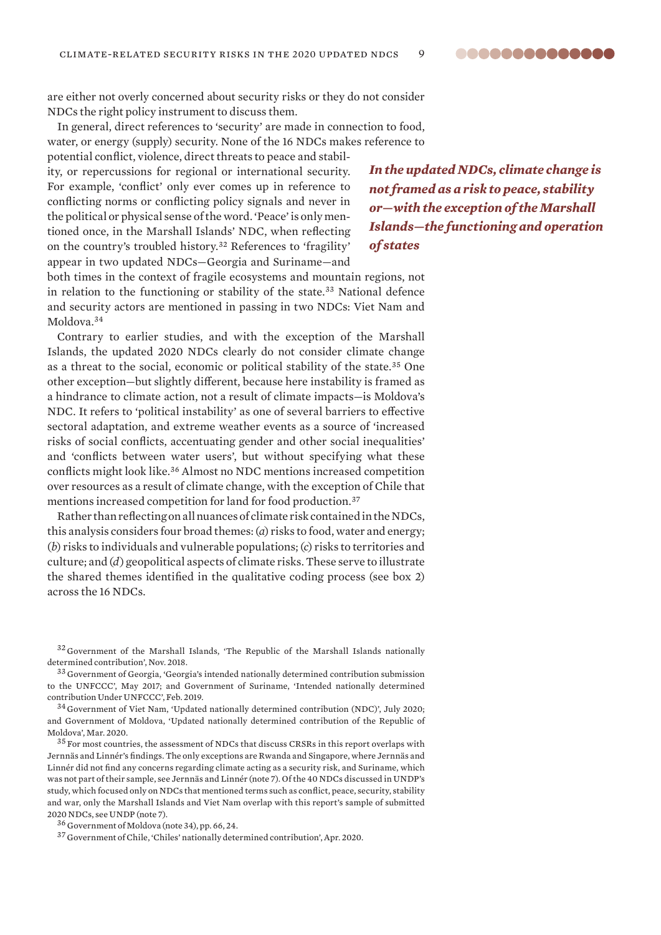are either not overly concerned about security risks or they do not consider NDCs the right policy instrument to discuss them.

In general, direct references to 'security' are made in connection to food, water, or energy (supply) security. None of the 16 NDCs makes reference to

potential conflict, violence, direct threats to peace and stability, or repercussions for regional or international security. For example, 'conflict' only ever comes up in reference to conflicting norms or conflicting policy signals and never in the political or physical sense of the word. 'Peace' is only mentioned once, in the Marshall Islands' NDC, when reflecting on the country's troubled history.<sup>32</sup> References to 'fragility' appear in two updated NDCs—Georgia and Suriname—and

*In the updated NDCs, climate change is not framed as a risk to peace, stability or—with the exception of the Marshall Islands—the functioning and operation of states*

both times in the context of fragile ecosystems and mountain regions, not in relation to the functioning or stability of the state.<sup>33</sup> National defence and security actors are mentioned in passing in two NDCs: Viet Nam and Moldova.<sup>34</sup>

Contrary to earlier studies, and with the exception of the Marshall Islands, the updated 2020 NDCs clearly do not consider climate change as a threat to the social, economic or political stability of the state.<sup>35</sup> One other exception—but slightly different, because here instability is framed as a hindrance to climate action, not a result of climate impacts—is Moldova's NDC. It refers to 'political instability' as one of several barriers to effective sectoral adaptation, and extreme weather events as a source of 'increased risks of social conflicts, accentuating gender and other social inequalities' and 'conflicts between water users', but without specifying what these conflicts might look like.<sup>36</sup> Almost no NDC mentions increased competition over resources as a result of climate change, with the exception of Chile that mentions increased competition for land for food production.<sup>37</sup>

Rather than reflecting on all nuances of climate risk contained in the NDCs, this analysis considers four broad themes: (*a*) risks to food, water and energy; (*b*) risks to individuals and vulnerable populations; (*c*) risks to territories and culture; and (*d*) geopolitical aspects of climate risks. These serve to illustrate the shared themes identified in the qualitative coding process (see box 2) across the 16 NDCs.

<sup>32</sup> Government of the Marshall Islands, '[The Republic of the Marshall Islands](https://www4.unfccc.int/sites/NDCStaging/Pages/Party.aspx?party=MHL) nationally determined contribution', Nov. 2018.

<sup>33</sup> Government of Georgia, ['Georgia's intended nationally determined contribution submission](https://www4.unfccc.int/sites/NDCStaging/Pages/Party.aspx?party=GEO)  [to the UNFCCC](https://www4.unfccc.int/sites/NDCStaging/Pages/Party.aspx?party=GEO)', May 2017; and Government of Suriname, '[Intended nationally determined](https://www4.unfccc.int/sites/NDCStaging/Pages/Party.aspx?party=SUR)  [contribution Under UNFCCC](https://www4.unfccc.int/sites/NDCStaging/Pages/Party.aspx?party=SUR)', Feb. 2019.

<sup>34</sup> Government of Viet Nam, ['Updated nationally determined contribution \(NDC\)](https://www4.unfccc.int/sites/NDCStaging/Pages/Party.aspx?party=VNM)', July 2020; and Government of Moldova, '[Updated nationally determined contribution of the Republic of](https://www4.unfccc.int/sites/NDCStaging/Pages/Party.aspx?party=MDA)  [Moldova](https://www4.unfccc.int/sites/NDCStaging/Pages/Party.aspx?party=MDA)', Mar. 2020.

<sup>&</sup>lt;sup>35</sup> For most countries, the assessment of NDCs that discuss CRSRs in this report overlaps with Jernnäs and Linnér's findings. The only exceptions are Rwanda and Singapore, where Jernnäs and Linnér did not find any concerns regarding climate acting as a security risk, and Suriname, which was not part of their sample, see Jernnäs and Linnér (note 7). Of the 40 NDCs discussed in UNDP's study, which focused only on NDCs that mentioned terms such as conflict, peace, security, stability and war, only the Marshall Islands and Viet Nam overlap with this report's sample of submitted 2020 NDCs, see UNDP (note 7).

<sup>36</sup> Government of Moldova (note 34), pp. 66, 24.

<sup>37</sup> Government of Chile, ['Chiles' n](https://www4.unfccc.int/sites/NDCStaging/Pages/Party.aspx?party=CHL)ationally determined contribution', Apr. 2020.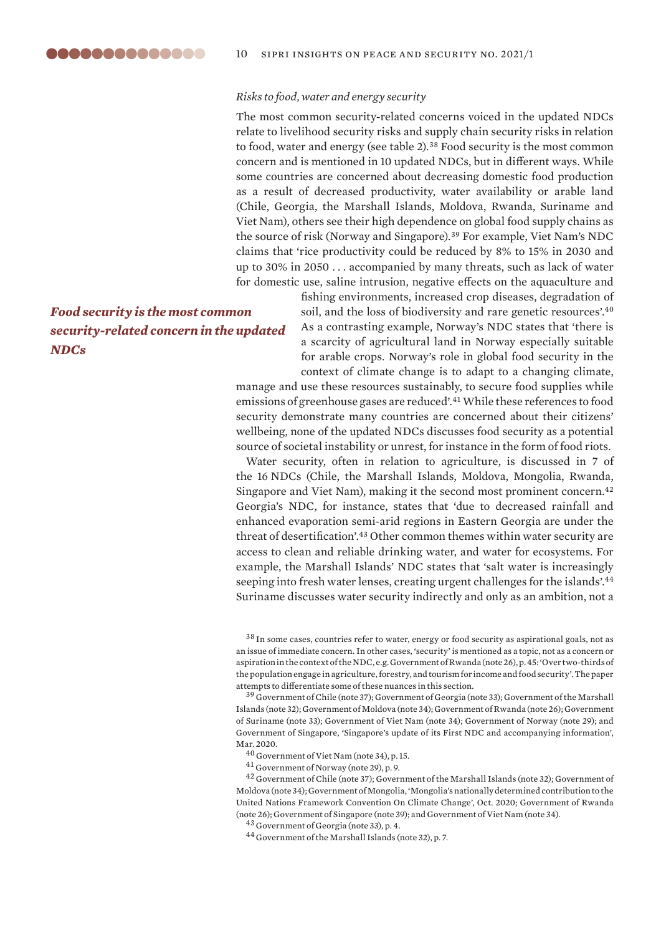### *Risks to food, water and energy security*

The most common security-related concerns voiced in the updated NDCs relate to livelihood security risks and supply chain security risks in relation to food, water and energy (see table 2).<sup>38</sup> Food security is the most common concern and is mentioned in 10 updated NDCs, but in different ways. While some countries are concerned about decreasing domestic food production as a result of decreased productivity, water availability or arable land (Chile, Georgia, the Marshall Islands, Moldova, Rwanda, Suriname and Viet Nam), others see their high dependence on global food supply chains as the source of risk (Norway and Singapore).<sup>39</sup> For example, Viet Nam's NDC claims that 'rice productivity could be reduced by 8% to 15% in 2030 and up to 30% in 2050 . . . accompanied by many threats, such as lack of water for domestic use, saline intrusion, negative effects on the aquaculture and

### *Food security is the most common security-related concern in the updated NDCs*

fishing environments, increased crop diseases, degradation of soil, and the loss of biodiversity and rare genetic resources'.<sup>40</sup> As a contrasting example, Norway's NDC states that 'there is a scarcity of agricultural land in Norway especially suitable for arable crops. Norway's role in global food security in the context of climate change is to adapt to a changing climate,

manage and use these resources sustainably, to secure food supplies while emissions of greenhouse gases are reduced'.<sup>41</sup> While these references to food security demonstrate many countries are concerned about their citizens' wellbeing, none of the updated NDCs discusses food security as a potential source of societal instability or unrest, for instance in the form of food riots.

Water security, often in relation to agriculture, is discussed in 7 of the 16 NDCs (Chile, the Marshall Islands, Moldova, Mongolia, Rwanda, Singapore and Viet Nam), making it the second most prominent concern.<sup>42</sup> Georgia's NDC, for instance, states that 'due to decreased rainfall and enhanced evaporation semi-arid regions in Eastern Georgia are under the threat of desertification'.<sup>43</sup> Other common themes within water security are access to clean and reliable drinking water, and water for ecosystems. For example, the Marshall Islands' NDC states that 'salt water is increasingly seeping into fresh water lenses, creating urgent challenges for the islands'.<sup>44</sup> Suriname discusses water security indirectly and only as an ambition, not a

<sup>38</sup> In some cases, countries refer to water, energy or food security as aspirational goals, not as an issue of immediate concern. In other cases, 'security' is mentioned as a topic, not as a concern or aspiration in the context of the NDC, e.g. Government of Rwanda (note 26), p. 45: 'Over two-thirds of the population engage in agriculture, forestry, and tourism for income and food security'. The paper attempts to differentiate some of these nuances in this section.

<sup>39</sup> Government of Chile (note 37); Government of Georgia (note 33); Government of the Marshall Islands (note 32); Government of Moldova (note 34); Government of Rwanda (note 26); Government of Suriname (note 33); Government of Viet Nam (note 34); Government of Norway (note 29); and Government of Singapore, '[Singapore's update of its First NDC and accompanying information](https://www4.unfccc.int/sites/NDCStaging/Pages/Party.aspx?party=SGP)', Mar. 2020.

<sup>40</sup> Government of Viet Nam (note 34), p. 15.

<sup>41</sup> Government of Norway (note 29), p. 9.

<sup>42</sup> Government of Chile (note 37); Government of the Marshall Islands (note 32); Government of Moldova (note 34); Government of Mongolia, '[Mongolia's nationally determined contribution to the](https://www4.unfccc.int/sites/NDCStaging/Pages/Party.aspx?party=MNG)  [United Nations Framework Convention On Climate Change](https://www4.unfccc.int/sites/NDCStaging/Pages/Party.aspx?party=MNG)', Oct. 2020; Government of Rwanda (note 26); Government of Singapore (note 39); and Government of Viet Nam (note 34).

<sup>43</sup> Government of Georgia (note 33), p. 4.

<sup>44</sup> Government of the Marshall Islands (note 32), p. 7.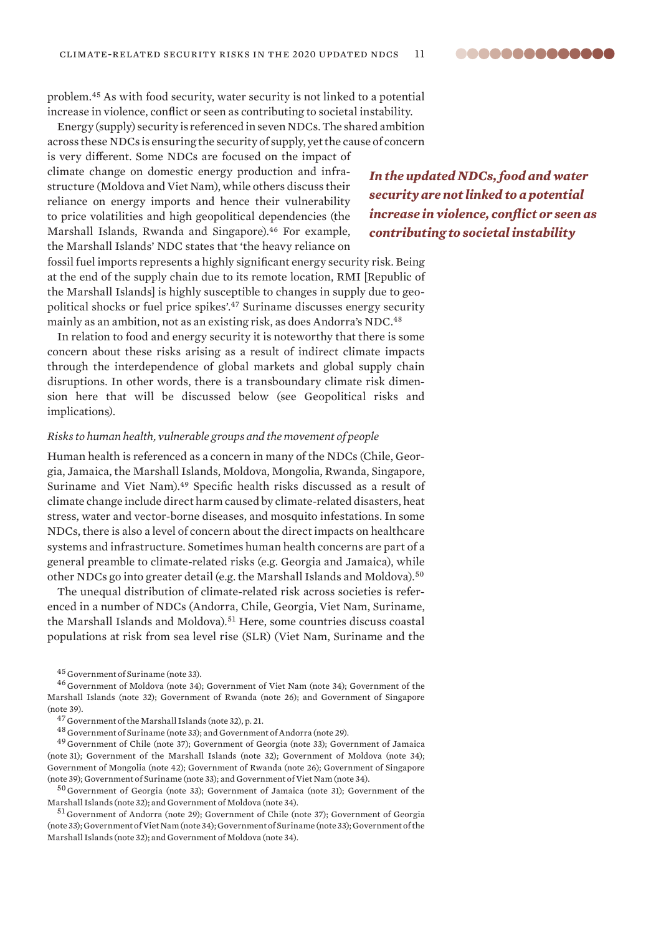problem.<sup>45</sup> As with food security, water security is not linked to a potential increase in violence, conflict or seen as contributing to societal instability.

Energy (supply) security is referenced in seven NDCs. The shared ambition across these NDCs is ensuring the security of supply, yet the cause of concern

is very different. Some NDCs are focused on the impact of climate change on domestic energy production and infrastructure (Moldova and Viet Nam), while others discuss their reliance on energy imports and hence their vulnerability to price volatilities and high geopolitical dependencies (the Marshall Islands, Rwanda and Singapore).<sup>46</sup> For example, the Marshall Islands' NDC states that 'the heavy reliance on

fossil fuel imports represents a highly significant energy security risk. Being at the end of the supply chain due to its remote location, RMI [Republic of the Marshall Islands] is highly susceptible to changes in supply due to geopolitical shocks or fuel price spikes'.<sup>47</sup> Suriname discusses energy security mainly as an ambition, not as an existing risk, as does Andorra's NDC.<sup>48</sup>

In relation to food and energy security it is noteworthy that there is some concern about these risks arising as a result of indirect climate impacts through the interdependence of global markets and global supply chain disruptions. In other words, there is a transboundary climate risk dimension here that will be discussed below (see Geopolitical risks and implications*).*

### *Risks to human health, vulnerable groups and the movement of people*

Human health is referenced as a concern in many of the NDCs (Chile, Georgia, Jamaica, the Marshall Islands, Moldova, Mongolia, Rwanda, Singapore, Suriname and Viet Nam).<sup>49</sup> Specific health risks discussed as a result of climate change include direct harm caused by climate-related disasters, heat stress, water and vector-borne diseases, and mosquito infestations. In some NDCs, there is also a level of concern about the direct impacts on healthcare systems and infrastructure. Sometimes human health concerns are part of a general preamble to climate-related risks (e.g. Georgia and Jamaica), while other NDCs go into greater detail (e.g. the Marshall Islands and Moldova).<sup>50</sup>

The unequal distribution of climate-related risk across societies is referenced in a number of NDCs (Andorra, Chile, Georgia, Viet Nam, Suriname, the Marshall Islands and Moldova).<sup>51</sup> Here, some countries discuss coastal populations at risk from sea level rise (SLR) (Viet Nam, Suriname and the

<sup>49</sup> Government of Chile (note 37); Government of Georgia (note 33); Government of Jamaica (note 31); Government of the Marshall Islands (note 32); Government of Moldova (note 34); Government of Mongolia (note 42); Government of Rwanda (note 26); Government of Singapore (note 39); Government of Suriname (note 33); and Government of Viet Nam (note 34).

<sup>50</sup> Government of Georgia (note 33); Government of Jamaica (note 31); Government of the Marshall Islands (note 32); and Government of Moldova (note 34).

<sup>51</sup> Government of Andorra (note 29); Government of Chile (note 37); Government of Georgia (note 33); Government of Viet Nam (note 34); Government of Suriname (note 33); Government of the Marshall Islands (note 32); and Government of Moldova (note 34).

*In the updated NDCs, food and water security are not linked to a potential increase in violence, conflict or seen as contributing to societal instability*

<sup>45</sup> Government of Suriname (note 33).

<sup>46</sup> Government of Moldova (note 34); Government of Viet Nam (note 34); Government of the Marshall Islands (note 32); Government of Rwanda (note 26); and Government of Singapore (note 39).

<sup>47</sup> Government of the Marshall Islands (note 32), p. 21.

<sup>48</sup> Government of Suriname (note 33); and Government of Andorra (note 29).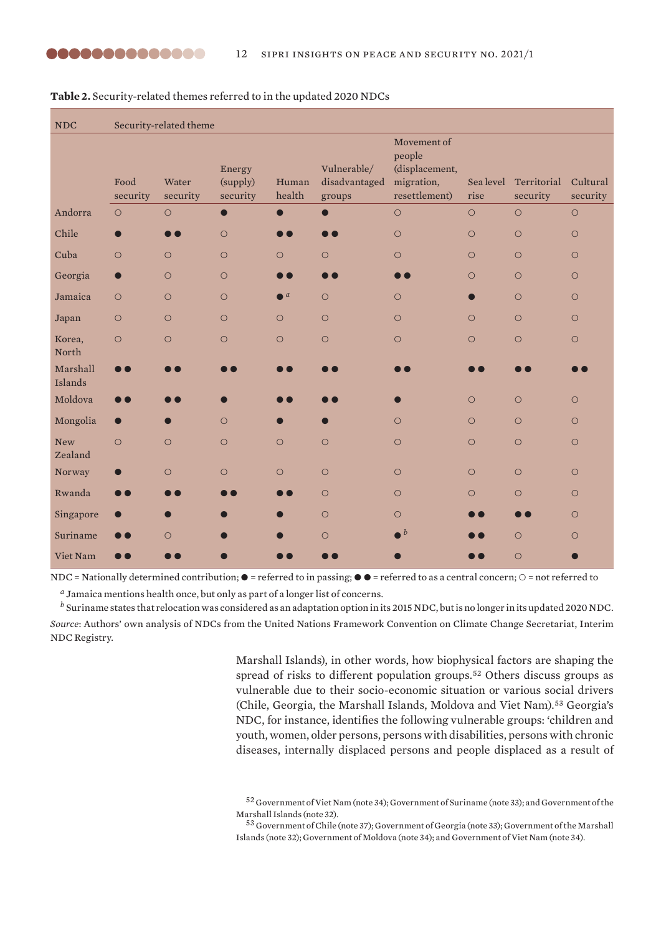| <b>NDC</b>            | Security-related theme |                   |                                |                        |                                        |                                                                        |                   |                         |                      |
|-----------------------|------------------------|-------------------|--------------------------------|------------------------|----------------------------------------|------------------------------------------------------------------------|-------------------|-------------------------|----------------------|
|                       | Food<br>security       | Water<br>security | Energy<br>(supply)<br>security | Human<br>health        | Vulnerable/<br>disadvantaged<br>groups | Movement of<br>people<br>(displacement,<br>migration,<br>resettlement) | Sea level<br>rise | Territorial<br>security | Cultural<br>security |
| Andorra               | $\circ$                | $\circ$           | $\bullet$                      | $\bullet$              | $\bullet$                              | $\bigcirc$                                                             | $\circ$           | $\circ$                 | $\circ$              |
| Chile                 |                        |                   | $\circ$                        |                        |                                        | $\circ$                                                                | $\circ$           | $\circ$                 | $\circ$              |
| Cuba                  | $\circ$                | $\circ$           | $\circ$                        | $\circ$                | $\circ$                                | $\circ$                                                                | $\circ$           | $\circ$                 | $\circ$              |
| Georgia               | $\bullet$              | $\circ$           | $\circ$                        | $\bullet$ $\bullet$    | $\bullet$ $\bullet$                    | $\bullet$ $\bullet$                                                    | $\bigcirc$        | $\circ$                 | $\circ$              |
| Jamaica               | $\bigcirc$             | $\circ$           | $\circ$                        | $\bullet$ <sup>a</sup> | $\circ$                                | $\circ$                                                                |                   | $\circ$                 | $\circ$              |
| Japan                 | $\circ$                | $\circ$           | $\circ$                        | $\circ$                | $\circ$                                | $\circ$                                                                | $\circ$           | $\circ$                 | $\circ$              |
| Korea,<br>North       | $\circ$                | $\circ$           | $\bigcirc$                     | $\circ$                | $\circ$                                | $\bigcirc$                                                             | $\circ$           | $\circ$                 | $\circ$              |
| Marshall<br>Islands   | Т                      |                   |                                |                        |                                        |                                                                        |                   |                         |                      |
| Moldova               |                        |                   |                                |                        |                                        |                                                                        | $\circ$           | $\circ$                 | $\circ$              |
| Mongolia              | $\bullet$              | $\bullet$         | $\circ$                        |                        |                                        | $\circ$                                                                | $\circ$           | $\circ$                 | $\circ$              |
| <b>New</b><br>Zealand | $\circ$                | $\circ$           | $\circ$                        | $\circ$                | $\circ$                                | $\circ$                                                                | $\circ$           | $\circ$                 | $\circ$              |
| Norway                |                        | $\circ$           | $\circ$                        | $\circ$                | $\circ$                                | $\circ$                                                                | $\circ$           | $\circ$                 | $\circ$              |
| Rwanda                |                        |                   |                                |                        | $\circ$                                | $\circ$                                                                | $\bigcirc$        | $\circ$                 | $\circ$              |
| Singapore             |                        |                   |                                |                        | $\circ$                                | $\circ$                                                                |                   | $\blacksquare$          | $\circ$              |
| Suriname              |                        | $\circ$           |                                |                        | $\circ$                                | $\cdot b$                                                              |                   | $\circ$                 | $\circ$              |
| Viet Nam              |                        |                   |                                |                        |                                        |                                                                        |                   | $\circ$                 |                      |

**Table 2.** Security-related themes referred to in the updated 2020 NDCs

NDC = Nationally determined contribution;  $\bullet$  = referred to in passing;  $\bullet$   $\bullet$  = referred to as a central concern;  $\circ$  = not referred to

*<sup>a</sup>* Jamaica mentions health once, but only as part of a longer list of concerns.

*<sup>b</sup>* Suriname states that relocation was considered as an adaptation option in its 2015 NDC, but is no longer in its updated 2020 NDC. *Source*: Authors' own analysis of NDCs from the United Nations Framework Convention on Climate Change Secretariat, [Interim](https://www4.unfccc.int/sites/NDCStaging/Pages/Home.aspx)  [NDC Registry](https://www4.unfccc.int/sites/NDCStaging/Pages/Home.aspx).

> Marshall Islands), in other words, how biophysical factors are shaping the spread of risks to different population groups.<sup>52</sup> Others discuss groups as vulnerable due to their socio-economic situation or various social drivers (Chile, Georgia, the Marshall Islands, Moldova and Viet Nam).<sup>53</sup> Georgia's NDC, for instance, identifies the following vulnerable groups: 'children and youth, women, older persons, persons with disabilities, persons with chronic diseases, internally displaced persons and people displaced as a result of

<sup>52</sup> Government of Viet Nam (note 34); Government of Suriname (note 33); and Government of the Marshall Islands (note 32).

<sup>53</sup> Government of Chile (note 37); Government of Georgia (note 33); Government of the Marshall Islands (note 32); Government of Moldova (note 34); and Government of Viet Nam (note 34).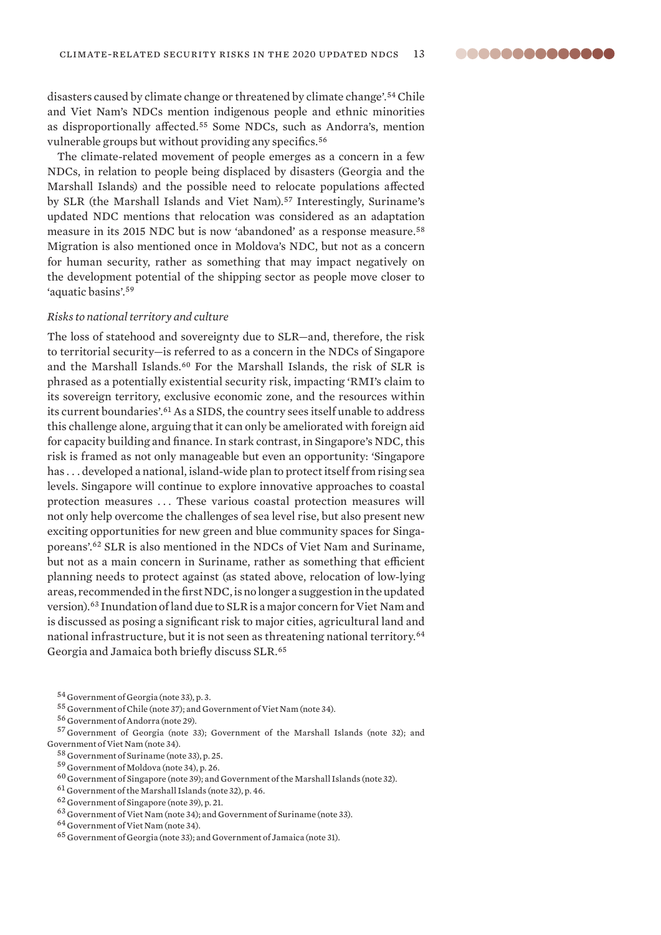disasters caused by climate change or threatened by climate change'.<sup>54</sup> Chile and Viet Nam's NDCs mention indigenous people and ethnic minorities as disproportionally affected.<sup>55</sup> Some NDCs, such as Andorra's, mention vulnerable groups but without providing any specifics.<sup>56</sup>

The climate-related movement of people emerges as a concern in a few NDCs, in relation to people being displaced by disasters (Georgia and the Marshall Islands) and the possible need to relocate populations affected by SLR (the Marshall Islands and Viet Nam).<sup>57</sup> Interestingly, Suriname's updated NDC mentions that relocation was considered as an adaptation measure in its 2015 NDC but is now 'abandoned' as a response measure.<sup>58</sup> Migration is also mentioned once in Moldova's NDC, but not as a concern for human security, rather as something that may impact negatively on the development potential of the shipping sector as people move closer to 'aquatic basins'.<sup>59</sup>

#### *Risks to national territory and culture*

The loss of statehood and sovereignty due to SLR—and, therefore, the risk to territorial security—is referred to as a concern in the NDCs of Singapore and the Marshall Islands.<sup>60</sup> For the Marshall Islands, the risk of SLR is phrased as a potentially existential security risk, impacting 'RMI's claim to its sovereign territory, exclusive economic zone, and the resources within its current boundaries'.<sup>61</sup> As a SIDS, the country sees itself unable to address this challenge alone, arguing that it can only be ameliorated with foreign aid for capacity building and finance. In stark contrast, in Singapore's NDC, this risk is framed as not only manageable but even an opportunity: 'Singapore has . . . developed a national, island-wide plan to protect itself from rising sea levels. Singapore will continue to explore innovative approaches to coastal protection measures ... These various coastal protection measures will not only help overcome the challenges of sea level rise, but also present new exciting opportunities for new green and blue community spaces for Singaporeans'.<sup>62</sup> SLR is also mentioned in the NDCs of Viet Nam and Suriname, but not as a main concern in Suriname, rather as something that efficient planning needs to protect against (as stated above, relocation of low-lying areas, recommended in the first NDC, is no longer a suggestion in the updated version).<sup>63</sup> Inundation of land due to SLR is a major concern for Viet Nam and is discussed as posing a significant risk to major cities, agricultural land and national infrastructure, but it is not seen as threatening national territory.<sup>64</sup> Georgia and Jamaica both briefly discuss SLR.<sup>65</sup>

- <sup>58</sup> Government of Suriname (note 33), p. 25.
- <sup>59</sup> Government of Moldova (note 34), p. 26.
- $^{60}$  Government of Singapore (note 39); and Government of the Marshall Islands (note 32).
- <sup>61</sup> Government of the Marshall Islands (note 32), p. 46.

<sup>54</sup> Government of Georgia (note 33), p. 3.

<sup>55</sup> Government of Chile (note 37); and Government of Viet Nam (note 34).

<sup>56</sup> Government of Andorra (note 29).

<sup>57</sup> Government of Georgia (note 33); Government of the Marshall Islands (note 32); and Government of Viet Nam (note 34).

<sup>62</sup> Government of Singapore (note 39), p. 21.

<sup>63</sup> Government of Viet Nam (note 34); and Government of Suriname (note 33).

<sup>64</sup> Government of Viet Nam (note 34).

<sup>65</sup> Government of Georgia (note 33); and Government of Jamaica (note 31).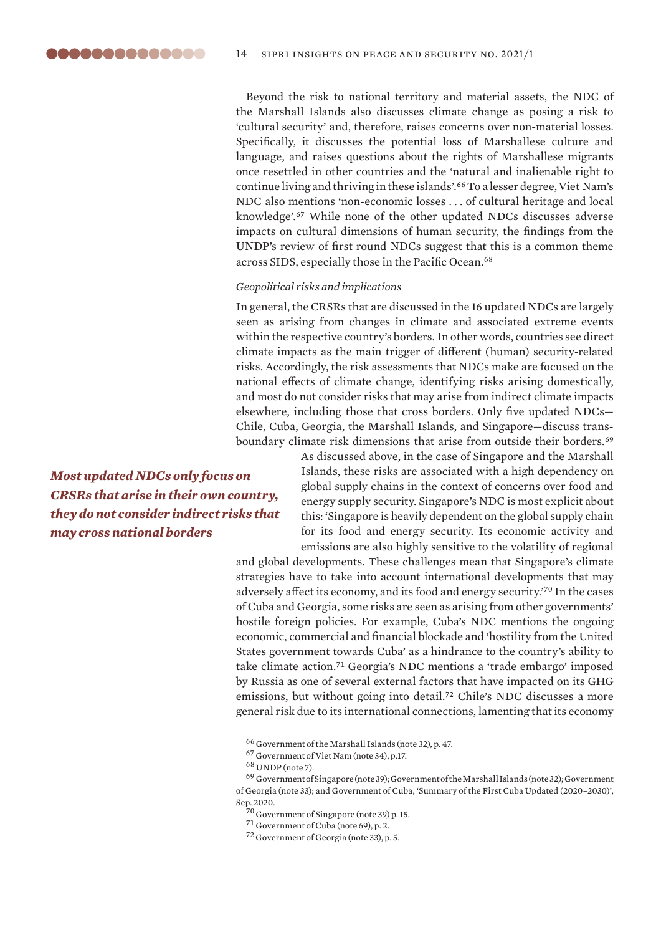Beyond the risk to national territory and material assets, the NDC of the Marshall Islands also discusses climate change as posing a risk to 'cultural security' and, therefore, raises concerns over non-material losses. Specifically, it discusses the potential loss of Marshallese culture and language, and raises questions about the rights of Marshallese migrants once resettled in other countries and the 'natural and inalienable right to continue living and thriving in these islands'.<sup>66</sup> To a lesser degree, Viet Nam's NDC also mentions 'non-economic losses . . . of cultural heritage and local knowledge'.<sup>67</sup> While none of the other updated NDCs discusses adverse impacts on cultural dimensions of human security, the findings from the UNDP's review of first round NDCs suggest that this is a common theme across SIDS, especially those in the Pacific Ocean.<sup>68</sup>

### *Geopolitical risks and implications*

In general, the CRSRs that are discussed in the 16 updated NDCs are largely seen as arising from changes in climate and associated extreme events within the respective country's borders. In other words, countries see direct climate impacts as the main trigger of different (human) security-related risks. Accordingly, the risk assessments that NDCs make are focused on the national effects of climate change, identifying risks arising domestically, and most do not consider risks that may arise from indirect climate impacts elsewhere, including those that cross borders. Only five updated NDCs— Chile, Cuba, Georgia, the Marshall Islands, and Singapore—discuss transboundary climate risk dimensions that arise from outside their borders.<sup>69</sup>

*Most updated NDCs only focus on CRSRs that arise in their own country, they do not consider indirect risks that may cross national borders*

As discussed above, in the case of Singapore and the Marshall Islands, these risks are associated with a high dependency on global supply chains in the context of concerns over food and energy supply security. Singapore's NDC is most explicit about this: 'Singapore is heavily dependent on the global supply chain for its food and energy security. Its economic activity and emissions are also highly sensitive to the volatility of regional

and global developments. These challenges mean that Singapore's climate strategies have to take into account international developments that may adversely affect its economy, and its food and energy security.'<sup>70</sup> In the cases of Cuba and Georgia, some risks are seen as arising from other governments' hostile foreign policies. For example, Cuba's NDC mentions the ongoing economic, commercial and financial blockade and 'hostility from the United States government towards Cuba' as a hindrance to the country's ability to take climate action.<sup>71</sup> Georgia's NDC mentions a 'trade embargo' imposed by Russia as one of several external factors that have impacted on its GHG emissions, but without going into detail.<sup>72</sup> Chile's NDC discusses a more general risk due to its international connections, lamenting that its economy

<sup>66</sup> Government of the Marshall Islands (note 32), p. 47.

<sup>67</sup> Government of Viet Nam (note 34), p.17.

<sup>71</sup> Government of Cuba (note 69), p. 2.

<sup>72</sup> Government of Georgia (note 33), p. 5.

<sup>68</sup> UNDP (note 7).

 $^{69}$  Government of Singapore (note 39); Government of the Marshall Islands (note 32); Government of Georgia (note 33); and Government of Cuba, ['Summary of the First Cuba Updated \(2020–2030\)](https://www4.unfccc.int/sites/NDCStaging/Pages/Party.aspx?party=CUB)', Sep. 2020.

<sup>&</sup>lt;sup>70</sup> Government of Singapore (note 39) p. 15.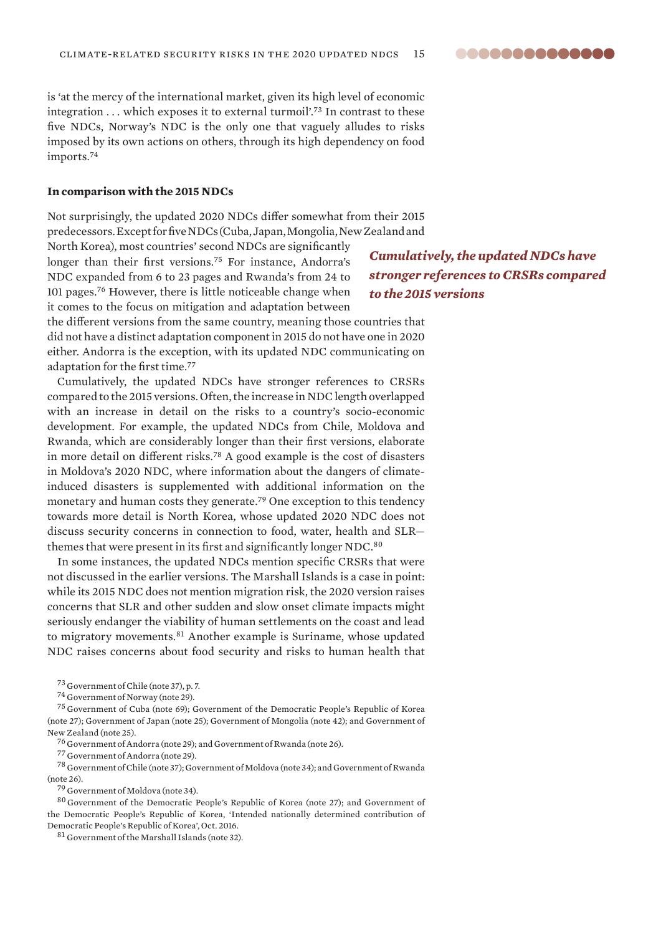8868888888888

<span id="page-14-0"></span>is 'at the mercy of the international market, given its high level of economic integration ... which exposes it to external turmoil'.<sup>73</sup> In contrast to these five NDCs, Norway's NDC is the only one that vaguely alludes to risks imposed by its own actions on others, through its high dependency on food imports.<sup>74</sup>

### **In comparison with the 2015 NDCs**

Not surprisingly, the updated 2020 NDCs differ somewhat from their 2015 predecessors. Except for five NDCs (Cuba, Japan, Mongolia, New Zealand and

North Korea), most countries' second NDCs are significantly longer than their first versions.<sup>75</sup> For instance, Andorra's NDC expanded from 6 to 23 pages and Rwanda's from 24 to 101 pages.<sup>76</sup> However, there is little noticeable change when it comes to the focus on mitigation and adaptation between

*Cumulatively, the updated NDCs have stronger references to CRSRs compared to the 2015 versions*

the different versions from the same country, meaning those countries that did not have a distinct adaptation component in 2015 do not have one in 2020 either. Andorra is the exception, with its updated NDC communicating on adaptation for the first time.<sup>77</sup>

Cumulatively, the updated NDCs have stronger references to CRSRs compared to the 2015 versions. Often, the increase in NDC length overlapped with an increase in detail on the risks to a country's socio-economic development. For example, the updated NDCs from Chile, Moldova and Rwanda, which are considerably longer than their first versions, elaborate in more detail on different risks.<sup>78</sup> A good example is the cost of disasters in Moldova's 2020 NDC, where information about the dangers of climateinduced disasters is supplemented with additional information on the monetary and human costs they generate.<sup>79</sup> One exception to this tendency towards more detail is North Korea, whose updated 2020 NDC does not discuss security concerns in connection to food, water, health and SLR themes that were present in its first and significantly longer NDC.<sup>80</sup>

In some instances, the updated NDCs mention specific CRSRs that were not discussed in the earlier versions. The Marshall Islands is a case in point: while its 2015 NDC does not mention migration risk, the 2020 version raises concerns that SLR and other sudden and slow onset climate impacts might seriously endanger the viability of human settlements on the coast and lead to migratory movements.<sup>81</sup> Another example is Suriname, whose updated NDC raises concerns about food security and risks to human health that

<sup>75</sup> Government of Cuba (note 69); Government of the Democratic People's Republic of Korea (note 27); Government of Japan (note 25); Government of Mongolia (note 42); and Government of New Zealand (note 25).

<sup>76</sup> Government of Andorra (note 29); and Government of Rwanda (note 26).

<sup>77</sup> Government of Andorra (note 29).

<sup>78</sup> Government of Chile (note 37); Government of Moldova (note 34); and Government of Rwanda (note 26).

<sup>79</sup> Government of Moldova (note 34).

<sup>80</sup> Government of the Democratic People's Republic of Korea (note 27); and Government of the Democratic People's Republic of Korea, '[Intended nationally determined contribution of](https://www4.unfccc.int/sites/ndcstaging/PublishedDocuments/Democratic%20People)  [Democratic People's Republic of Korea'](https://www4.unfccc.int/sites/ndcstaging/PublishedDocuments/Democratic%20People), Oct. 2016.

<sup>81</sup> Government of the Marshall Islands (note 32).

<sup>73</sup> Government of Chile (note 37), p. 7.

<sup>74</sup> Government of Norway (note 29).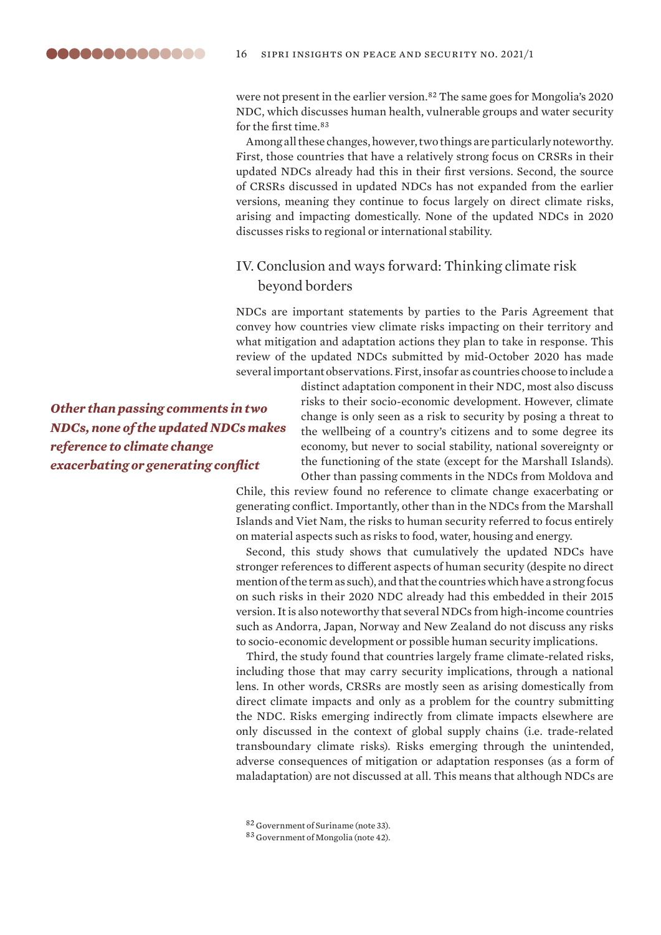<span id="page-15-0"></span>were not present in the earlier version.<sup>82</sup> The same goes for Mongolia's 2020 NDC, which discusses human health, vulnerable groups and water security for the first time.<sup>83</sup>

Among all these changes, however, two things are particularly noteworthy. First, those countries that have a relatively strong focus on CRSRs in their updated NDCs already had this in their first versions. Second, the source of CRSRs discussed in updated NDCs has not expanded from the earlier versions, meaning they continue to focus largely on direct climate risks, arising and impacting domestically. None of the updated NDCs in 2020 discusses risks to regional or international stability.

### IV. Conclusion and ways forward: Thinking climate risk beyond borders

NDCs are important statements by parties to the Paris Agreement that convey how countries view climate risks impacting on their territory and what mitigation and adaptation actions they plan to take in response. This review of the updated NDCs submitted by mid-October 2020 has made several important observations. First, insofar as countries choose to include a

*Other than passing comments in two NDCs, none of the updated NDCs makes reference to climate change exacerbating or generating conflict*

distinct adaptation component in their NDC, most also discuss risks to their socio-economic development. However, climate change is only seen as a risk to security by posing a threat to the wellbeing of a country's citizens and to some degree its economy, but never to social stability, national sovereignty or the functioning of the state (except for the Marshall Islands). Other than passing comments in the NDCs from Moldova and

Chile, this review found no reference to climate change exacerbating or generating conflict. Importantly, other than in the NDCs from the Marshall Islands and Viet Nam, the risks to human security referred to focus entirely on material aspects such as risks to food, water, housing and energy.

Second, this study shows that cumulatively the updated NDCs have stronger references to different aspects of human security (despite no direct mention of the term as such), and that the countries which have a strong focus on such risks in their 2020 NDC already had this embedded in their 2015 version. It is also noteworthy that several NDCs from high-income countries such as Andorra, Japan, Norway and New Zealand do not discuss any risks to socio-economic development or possible human security implications.

Third, the study found that countries largely frame climate-related risks, including those that may carry security implications, through a national lens. In other words, CRSRs are mostly seen as arising domestically from direct climate impacts and only as a problem for the country submitting the NDC. Risks emerging indirectly from climate impacts elsewhere are only discussed in the context of global supply chains (i.e. trade-related transboundary climate risks). Risks emerging through the unintended, adverse consequences of mitigation or adaptation responses (as a form of maladaptation) are not discussed at all. This means that although NDCs are

<sup>83</sup> Government of Mongolia (note 42).

<sup>82</sup> Government of Suriname (note 33).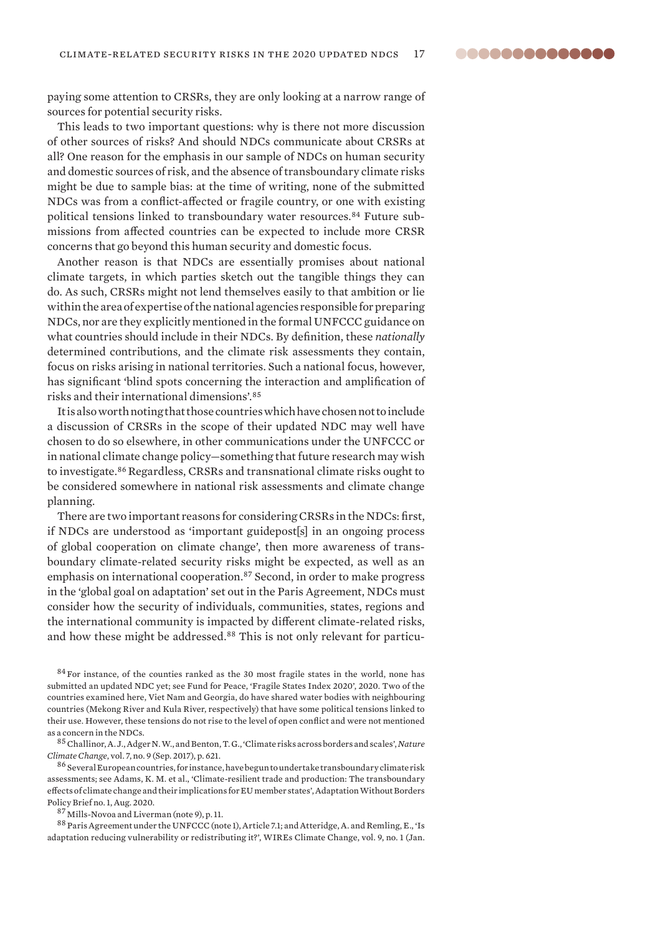paying some attention to CRSRs, they are only looking at a narrow range of sources for potential security risks.

This leads to two important questions: why is there not more discussion of other sources of risks? And should NDCs communicate about CRSRs at all? One reason for the emphasis in our sample of NDCs on human security and domestic sources of risk, and the absence of transboundary climate risks might be due to sample bias: at the time of writing, none of the submitted NDCs was from a conflict-affected or fragile country, or one with existing political tensions linked to transboundary water resources.84 Future submissions from affected countries can be expected to include more CRSR concerns that go beyond this human security and domestic focus.

Another reason is that NDCs are essentially promises about national climate targets, in which parties sketch out the tangible things they can do. As such, CRSRs might not lend themselves easily to that ambition or lie within the area of expertise of the national agencies responsible for preparing NDCs, nor are they explicitly mentioned in the formal UNFCCC guidance on what countries should include in their NDCs. By definition, these *nationally*  determined contributions, and the climate risk assessments they contain, focus on risks arising in national territories. Such a national focus, however, has significant 'blind spots concerning the interaction and amplification of risks and their international dimensions'.<sup>85</sup>

It is also worth noting that those countries which have chosen not to include a discussion of CRSRs in the scope of their updated NDC may well have chosen to do so elsewhere, in other communications under the UNFCCC or in national climate change policy—something that future research may wish to investigate.<sup>86</sup> Regardless, CRSRs and transnational climate risks ought to be considered somewhere in national risk assessments and climate change planning.

There are two important reasons for considering CRSRs in the NDCs: first, if NDCs are understood as 'important guidepost[s] in an ongoing process of global cooperation on climate change', then more awareness of transboundary climate-related security risks might be expected, as well as an emphasis on international cooperation.<sup>87</sup> Second, in order to make progress in the 'global goal on adaptation' set out in the Paris Agreement, NDCs must consider how the security of individuals, communities, states, regions and the international community is impacted by different climate-related risks, and how these might be addressed.88 This is not only relevant for particu-

<sup>84</sup> For instance, of the counties ranked as the 30 most fragile states in the world, none has submitted an updated NDC yet; see Fund for Peace, ['Fragile States Index 2020'](https://fragilestatesindex.org/data/), 2020. Two of the countries examined here, Viet Nam and Georgia, do have shared water bodies with neighbouring countries (Mekong River and Kula River, respectively) that have some political tensions linked to their use. However, these tensions do not rise to the level of open conflict and were not mentioned as a concern in the NDCs.

<sup>85</sup>Challinor, A. J., Adger N. W., and Benton, T. G., '[Climate risks across borders and scales](https://doi.org/10.1038/nclimate3380)', *Nature Climate Change*, vol. 7, no. 9 (Sep. 2017), p. 621.

<sup>86</sup> Several European countries, for instance, have begun to undertake transboundary climate risk assessments; see Adams, K. M. et al., ['Climate-resilient trade and production: The transboundary](https://www.sei.org/publications/climate-resilient-trade-production-transboundary-eu/)  [effects of climate change and their implications for EU member states'](https://www.sei.org/publications/climate-resilient-trade-production-transboundary-eu/), Adaptation Without Borders Policy Brief no. 1, Aug. 2020.

<sup>87</sup> Mills-Novoa and Liverman (note 9), p. 11.

<sup>88</sup> Paris Agreement under the UNFCCC (note 1), Article 7.1; and Atteridge, A. and Remling, E., 'Is adaptation reducing vulnerability or redistributing it?', WIREs Climate Change, vol. 9, no. 1 (Jan.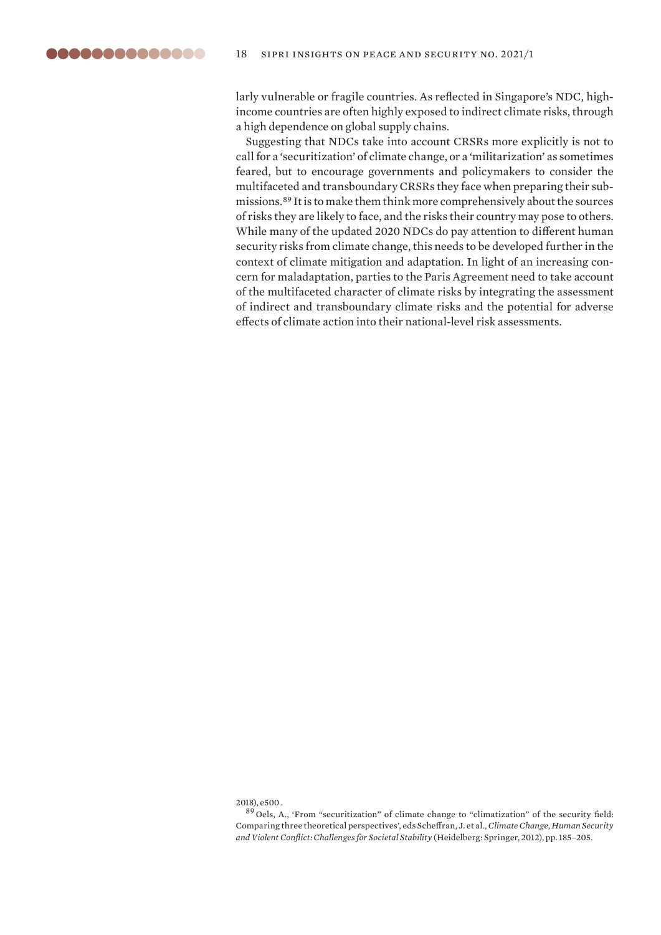larly vulnerable or fragile countries. As reflected in Singapore's NDC, highincome countries are often highly exposed to indirect climate risks, through a high dependence on global supply chains.

Suggesting that NDCs take into account CRSRs more explicitly is not to call for a 'securitization' of climate change, or a 'militarization' as sometimes feared, but to encourage governments and policymakers to consider the multifaceted and transboundary CRSRs they face when preparing their submissions.<sup>89</sup> It is to make them think more comprehensively about the sources of risks they are likely to face, and the risks their country may pose to others. While many of the updated 2020 NDCs do pay attention to different human security risks from climate change, this needs to be developed further in the context of climate mitigation and adaptation. In light of an increasing concern for maladaptation, parties to the Paris Agreement need to take account of the multifaceted character of climate risks by integrating the assessment of indirect and transboundary climate risks and the potential for adverse effects of climate action into their national-level risk assessments.

2018), e500 .

<sup>89</sup> Oels, A., ['From "securitization" of climate change to "climatization" of the security field:](https://doi.org/10.1007/978-3-642-28626-1_9)  [Comparing three theoretical perspectives](https://doi.org/10.1007/978-3-642-28626-1_9)', eds Scheffran, J. et al., *Climate Change, Human Security and Violent Conflict: Challenges for Societal Stability* (Heidelberg: Springer, 2012), pp. 185–205.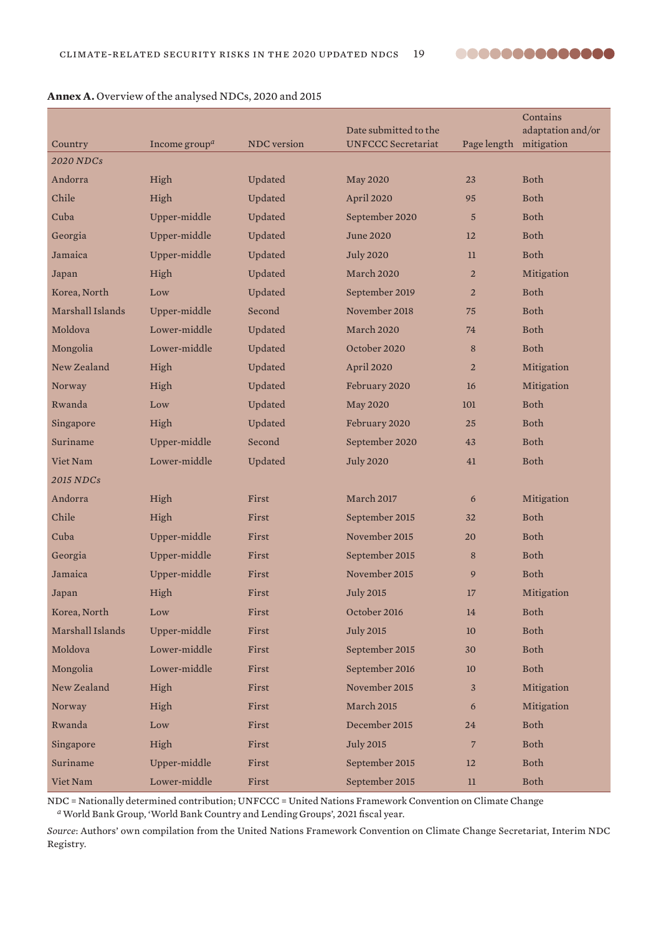

|                             | Income group <sup><math>a</math></sup> | <b>NDC</b> version | Date submitted to the<br><b>UNFCCC Secretariat</b> | Page length    | Contains<br>adaptation and/or<br>mitigation |
|-----------------------------|----------------------------------------|--------------------|----------------------------------------------------|----------------|---------------------------------------------|
| Country<br><b>2020 NDCs</b> |                                        |                    |                                                    |                |                                             |
| Andorra                     | High                                   | Updated            | <b>May 2020</b>                                    | 23             | <b>Both</b>                                 |
| Chile                       | High                                   | Updated            | April 2020                                         | 95             | <b>Both</b>                                 |
| Cuba                        | Upper-middle                           | Updated            | September 2020                                     | $\overline{5}$ | <b>Both</b>                                 |
| Georgia                     | Upper-middle                           | Updated            | June 2020                                          | 12             | <b>Both</b>                                 |
| Jamaica                     | Upper-middle                           | Updated            | <b>July 2020</b>                                   | 11             | Both                                        |
| Japan                       | High                                   | Updated            | March 2020                                         | $\overline{2}$ | Mitigation                                  |
| Korea, North                | Low                                    | Updated            | September 2019                                     | $\overline{2}$ | <b>Both</b>                                 |
| Marshall Islands            | Upper-middle                           | Second             | November 2018                                      | 75             | <b>Both</b>                                 |
| Moldova                     | Lower-middle                           | Updated            | March 2020                                         | 74             | <b>Both</b>                                 |
| Mongolia                    | Lower-middle                           | Updated            | October 2020                                       | 8              | Both                                        |
| New Zealand                 | High                                   | Updated            | April 2020                                         | $\overline{2}$ | Mitigation                                  |
| Norway                      | High                                   | Updated            | February 2020                                      | 16             | Mitigation                                  |
| Rwanda                      | Low                                    | Updated            | <b>May 2020</b>                                    | 101            | <b>Both</b>                                 |
| Singapore                   | High                                   | Updated            | February 2020                                      | 25             | <b>Both</b>                                 |
| Suriname                    | Upper-middle                           | Second             | September 2020                                     | 43             | Both                                        |
| Viet Nam                    | Lower-middle                           | Updated            | <b>July 2020</b>                                   | 41             | Both                                        |
| <b>2015 NDCs</b>            |                                        |                    |                                                    |                |                                             |
| Andorra                     | High                                   | First              | <b>March 2017</b>                                  | 6              | Mitigation                                  |
| Chile                       | High                                   | First              | September 2015                                     | 32             | <b>Both</b>                                 |
| Cuba                        | Upper-middle                           | First              | November 2015                                      | 20             | <b>Both</b>                                 |
| Georgia                     | Upper-middle                           | First              | September 2015                                     | 8              | <b>Both</b>                                 |
| Jamaica                     | Upper-middle                           | First              | November 2015                                      | 9              | Both                                        |
| Japan                       | High                                   | First              | <b>July 2015</b>                                   | 17             | Mitigation                                  |
| Korea, North                | Low                                    | First              | October 2016                                       | 14             | Both                                        |
| Marshall Islands            | Upper-middle                           | First              | <b>July 2015</b>                                   | 10             | Both                                        |
| Moldova                     | Lower-middle                           | First              | September 2015                                     | 30             | Both                                        |
| Mongolia                    | Lower-middle                           | First              | September 2016                                     | 10             | Both                                        |
| New Zealand                 | High                                   | First              | November 2015                                      | 3              | Mitigation                                  |
| Norway                      | High                                   | First              | March 2015                                         | 6              | Mitigation                                  |
| Rwanda                      | Low                                    | First              | December 2015                                      | 24             | Both                                        |
| Singapore                   | High                                   | First              | <b>July 2015</b>                                   | $\overline{7}$ | Both                                        |
| Suriname                    | Upper-middle                           | First              | September 2015                                     | 12             | Both                                        |
| Viet Nam                    | Lower-middle                           | First              | September 2015                                     | $11\,$         | Both                                        |

### **Annex A.** Overview of the analysed NDCs, 2020 and 2015

NDC = Nationally determined contribution; UNFCCC = United Nations Framework Convention on Climate Change *<sup>a</sup>* World Bank Group, '[World Bank Country and Lending Groups](https://datahelpdesk.worldbank.org/knowledgebase/articles/906519-world-bank-country-and-lending-groups)', 2021 fiscal year.

*Source*: Authors' own compilation from the United Nations Framework Convention on Climate Change Secretariat, [Interim NDC](https://www4.unfccc.int/sites/NDCStaging/Pages/Home.aspx)  [Registry.](https://www4.unfccc.int/sites/NDCStaging/Pages/Home.aspx)